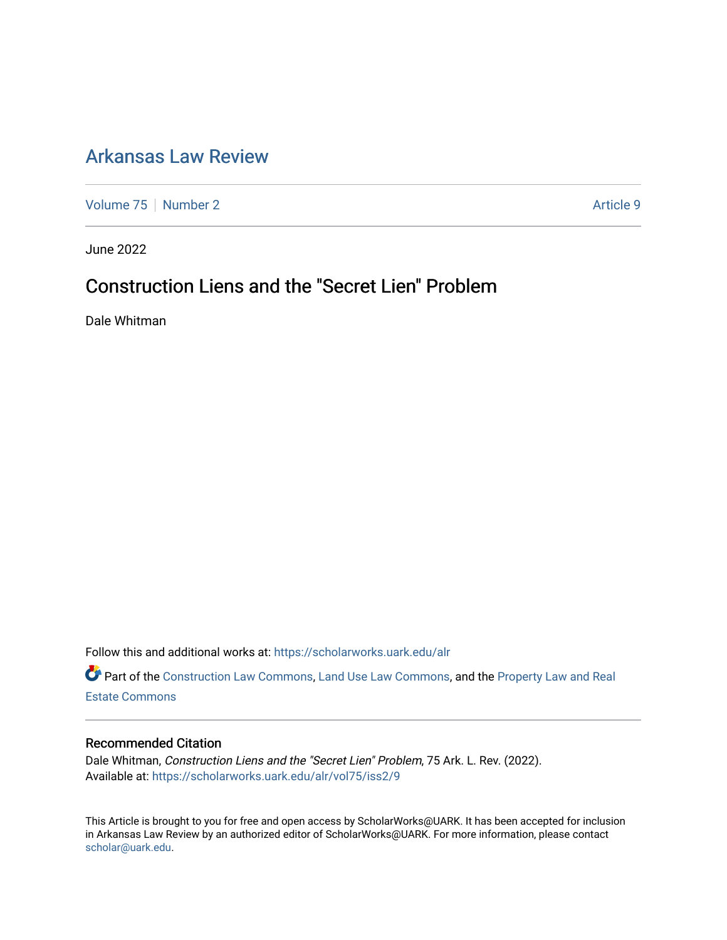# [Arkansas Law Review](https://scholarworks.uark.edu/alr)

[Volume 75](https://scholarworks.uark.edu/alr/vol75) [Number 2](https://scholarworks.uark.edu/alr/vol75/iss2) Article 9

June 2022

# Construction Liens and the "Secret Lien" Problem

Dale Whitman

Follow this and additional works at: [https://scholarworks.uark.edu/alr](https://scholarworks.uark.edu/alr?utm_source=scholarworks.uark.edu%2Falr%2Fvol75%2Fiss2%2F9&utm_medium=PDF&utm_campaign=PDFCoverPages) 

Part of the [Construction Law Commons,](https://network.bepress.com/hgg/discipline/590?utm_source=scholarworks.uark.edu%2Falr%2Fvol75%2Fiss2%2F9&utm_medium=PDF&utm_campaign=PDFCoverPages) [Land Use Law Commons](https://network.bepress.com/hgg/discipline/852?utm_source=scholarworks.uark.edu%2Falr%2Fvol75%2Fiss2%2F9&utm_medium=PDF&utm_campaign=PDFCoverPages), and the [Property Law and Real](https://network.bepress.com/hgg/discipline/897?utm_source=scholarworks.uark.edu%2Falr%2Fvol75%2Fiss2%2F9&utm_medium=PDF&utm_campaign=PDFCoverPages)  [Estate Commons](https://network.bepress.com/hgg/discipline/897?utm_source=scholarworks.uark.edu%2Falr%2Fvol75%2Fiss2%2F9&utm_medium=PDF&utm_campaign=PDFCoverPages) 

## Recommended Citation

Dale Whitman, Construction Liens and the "Secret Lien" Problem, 75 Ark. L. Rev. (2022). Available at: [https://scholarworks.uark.edu/alr/vol75/iss2/9](https://scholarworks.uark.edu/alr/vol75/iss2/9?utm_source=scholarworks.uark.edu%2Falr%2Fvol75%2Fiss2%2F9&utm_medium=PDF&utm_campaign=PDFCoverPages)

This Article is brought to you for free and open access by ScholarWorks@UARK. It has been accepted for inclusion in Arkansas Law Review by an authorized editor of ScholarWorks@UARK. For more information, please contact [scholar@uark.edu](mailto:scholar@uark.edu).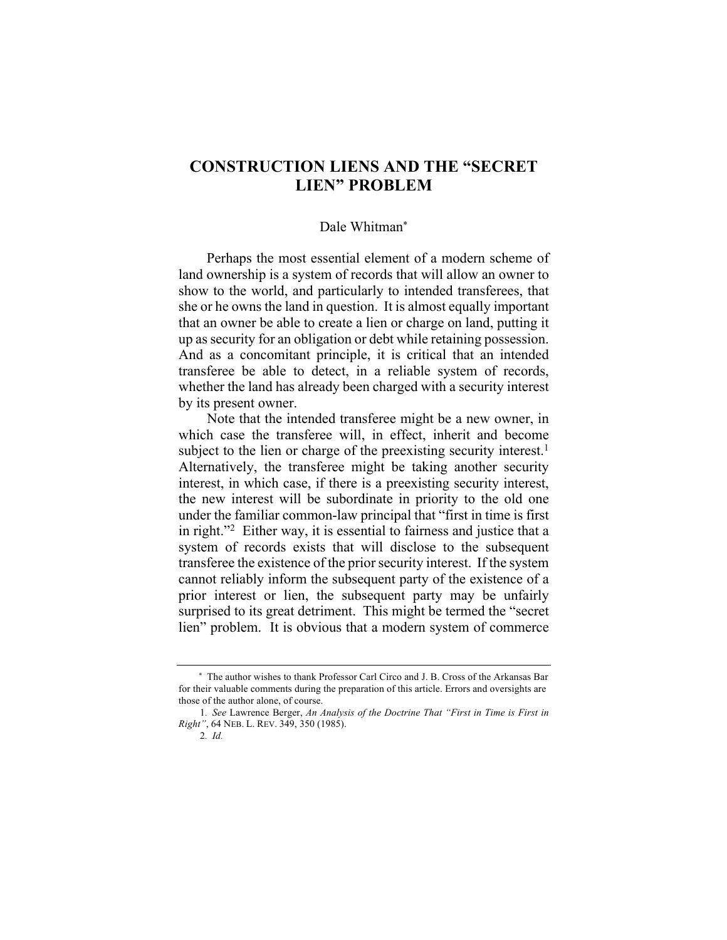# **CONSTRUCTION LIENS AND THE "SECRET LIEN" PROBLEM**

#### Dale Whitman\*

Perhaps the most essential element of a modern scheme of land ownership is a system of records that will allow an owner to show to the world, and particularly to intended transferees, that she or he owns the land in question. It is almost equally important that an owner be able to create a lien or charge on land, putting it up as security for an obligation or debt while retaining possession. And as a concomitant principle, it is critical that an intended transferee be able to detect, in a reliable system of records, whether the land has already been charged with a security interest by its present owner.

Note that the intended transferee might be a new owner, in which case the transferee will, in effect, inherit and become subject to the lien or charge of the preexisting security interest.<sup>1</sup> Alternatively, the transferee might be taking another security interest, in which case, if there is a preexisting security interest, the new interest will be subordinate in priority to the old one under the familiar common-law principal that "first in time is first in right."2 Either way, it is essential to fairness and justice that a system of records exists that will disclose to the subsequent transferee the existence of the prior security interest. If the system cannot reliably inform the subsequent party of the existence of a prior interest or lien, the subsequent party may be unfairly surprised to its great detriment. This might be termed the "secret lien" problem. It is obvious that a modern system of commerce

\* The author wishes to thank Professor Carl Circo and J. B. Cross of the Arkansas Bar for their valuable comments during the preparation of this article. Errors and oversights are those of the author alone, of course.

<sup>1</sup>*. See* Lawrence Berger, *An Analysis of the Doctrine That "First in Time is First in Right"*, 64 NEB. L. REV. 349, 350 (1985).

<sup>2</sup>*. Id.*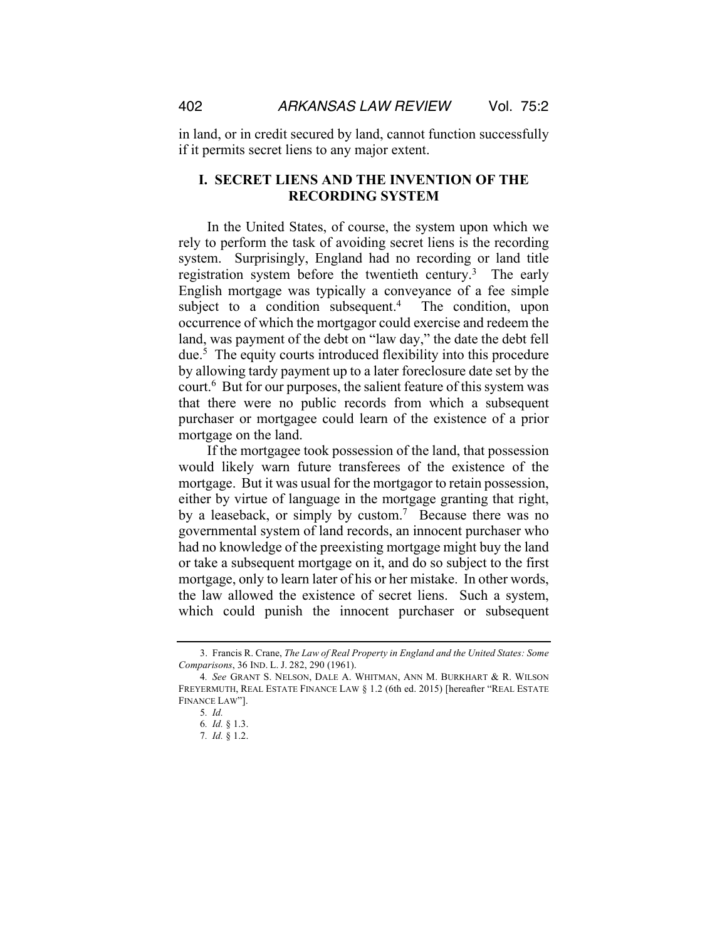in land, or in credit secured by land, cannot function successfully if it permits secret liens to any major extent.

# **I. SECRET LIENS AND THE INVENTION OF THE RECORDING SYSTEM**

In the United States, of course, the system upon which we rely to perform the task of avoiding secret liens is the recording system. Surprisingly, England had no recording or land title registration system before the twentieth century.<sup>3</sup> The early English mortgage was typically a conveyance of a fee simple subject to a condition subsequent.<sup>4</sup> The condition, upon occurrence of which the mortgagor could exercise and redeem the land, was payment of the debt on "law day," the date the debt fell due.5 The equity courts introduced flexibility into this procedure by allowing tardy payment up to a later foreclosure date set by the court.6 But for our purposes, the salient feature of this system was that there were no public records from which a subsequent purchaser or mortgagee could learn of the existence of a prior mortgage on the land.

If the mortgagee took possession of the land, that possession would likely warn future transferees of the existence of the mortgage. But it was usual for the mortgagor to retain possession, either by virtue of language in the mortgage granting that right, by a leaseback, or simply by custom.<sup>7</sup> Because there was no governmental system of land records, an innocent purchaser who had no knowledge of the preexisting mortgage might buy the land or take a subsequent mortgage on it, and do so subject to the first mortgage, only to learn later of his or her mistake. In other words, the law allowed the existence of secret liens. Such a system, which could punish the innocent purchaser or subsequent

<sup>3.</sup> Francis R. Crane, *The Law of Real Property in England and the United States: Some Comparisons*, 36 IND. L. J. 282, 290 (1961).

<sup>4</sup>*. See* GRANT S. NELSON, DALE A. WHITMAN, ANN M. BURKHART & R. WILSON FREYERMUTH, REAL ESTATE FINANCE LAW § 1.2 (6th ed. 2015) [hereafter "REAL ESTATE FINANCE LAW"].

<sup>5</sup>*. Id.*

<sup>6</sup>*. Id.* § 1.3.

<sup>7</sup>*. Id.* § 1.2.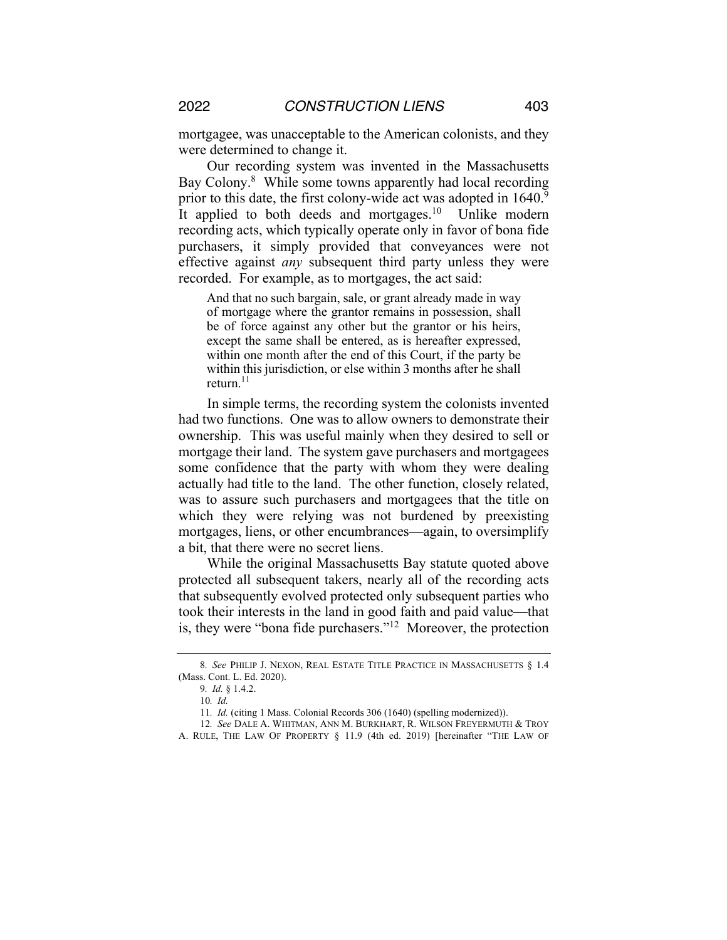mortgagee, was unacceptable to the American colonists, and they were determined to change it.

Our recording system was invented in the Massachusetts Bay Colony.<sup>8</sup> While some towns apparently had local recording prior to this date, the first colony-wide act was adopted in 1640.<sup>9</sup> It applied to both deeds and mortgages.<sup>10</sup> Unlike modern recording acts, which typically operate only in favor of bona fide purchasers, it simply provided that conveyances were not effective against *any* subsequent third party unless they were recorded. For example, as to mortgages, the act said:

And that no such bargain, sale, or grant already made in way of mortgage where the grantor remains in possession, shall be of force against any other but the grantor or his heirs, except the same shall be entered, as is hereafter expressed, within one month after the end of this Court, if the party be within this jurisdiction, or else within 3 months after he shall return.<sup>11</sup>

In simple terms, the recording system the colonists invented had two functions. One was to allow owners to demonstrate their ownership. This was useful mainly when they desired to sell or mortgage their land. The system gave purchasers and mortgagees some confidence that the party with whom they were dealing actually had title to the land. The other function, closely related, was to assure such purchasers and mortgagees that the title on which they were relying was not burdened by preexisting mortgages, liens, or other encumbrances—again, to oversimplify a bit, that there were no secret liens.

While the original Massachusetts Bay statute quoted above protected all subsequent takers, nearly all of the recording acts that subsequently evolved protected only subsequent parties who took their interests in the land in good faith and paid value—that is, they were "bona fide purchasers."12 Moreover, the protection

<sup>8</sup>*. See* PHILIP J. NEXON, REAL ESTATE TITLE PRACTICE IN MASSACHUSETTS § 1.4 (Mass. Cont. L. Ed. 2020).

<sup>9</sup>*. Id.* § 1.4.2.

<sup>10</sup>*. Id.*

<sup>11</sup>*. Id.* (citing 1 Mass. Colonial Records 306 (1640) (spelling modernized)).

<sup>12</sup>*. See* DALE A. WHITMAN, ANN M. BURKHART, R. WILSON FREYERMUTH & TROY A. RULE, THE LAW OF PROPERTY § 11.9 (4th ed. 2019) [hereinafter "THE LAW OF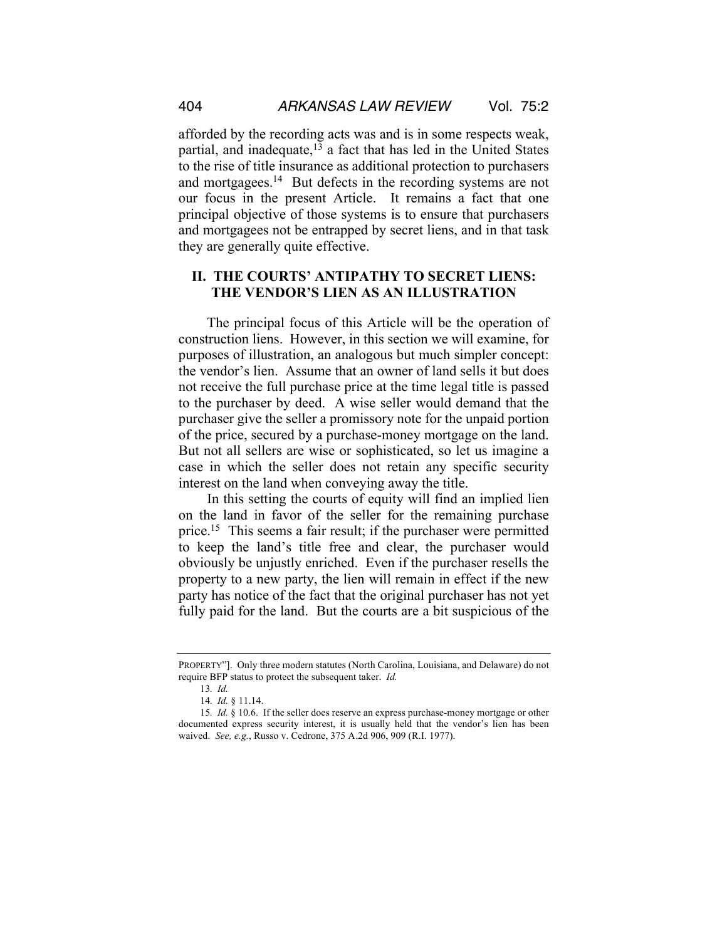afforded by the recording acts was and is in some respects weak, partial, and inadequate, $1\overline{3}$  a fact that has led in the United States to the rise of title insurance as additional protection to purchasers and mortgagees.<sup>14</sup> But defects in the recording systems are not our focus in the present Article. It remains a fact that one principal objective of those systems is to ensure that purchasers and mortgagees not be entrapped by secret liens, and in that task they are generally quite effective.

# **II. THE COURTS' ANTIPATHY TO SECRET LIENS: THE VENDOR'S LIEN AS AN ILLUSTRATION**

The principal focus of this Article will be the operation of construction liens. However, in this section we will examine, for purposes of illustration, an analogous but much simpler concept: the vendor's lien. Assume that an owner of land sells it but does not receive the full purchase price at the time legal title is passed to the purchaser by deed. A wise seller would demand that the purchaser give the seller a promissory note for the unpaid portion of the price, secured by a purchase-money mortgage on the land. But not all sellers are wise or sophisticated, so let us imagine a case in which the seller does not retain any specific security interest on the land when conveying away the title.

In this setting the courts of equity will find an implied lien on the land in favor of the seller for the remaining purchase price.<sup>15</sup> This seems a fair result; if the purchaser were permitted to keep the land's title free and clear, the purchaser would obviously be unjustly enriched. Even if the purchaser resells the property to a new party, the lien will remain in effect if the new party has notice of the fact that the original purchaser has not yet fully paid for the land. But the courts are a bit suspicious of the

PROPERTY"]. Only three modern statutes (North Carolina, Louisiana, and Delaware) do not require BFP status to protect the subsequent taker. *Id.*

<sup>13</sup>*. Id.*

<sup>14</sup>*. Id.* § 11.14.

<sup>15</sup>*. Id.* § 10.6. If the seller does reserve an express purchase-money mortgage or other documented express security interest, it is usually held that the vendor's lien has been waived. *See, e.g.*, Russo v. Cedrone, 375 A.2d 906, 909 (R.I. 1977).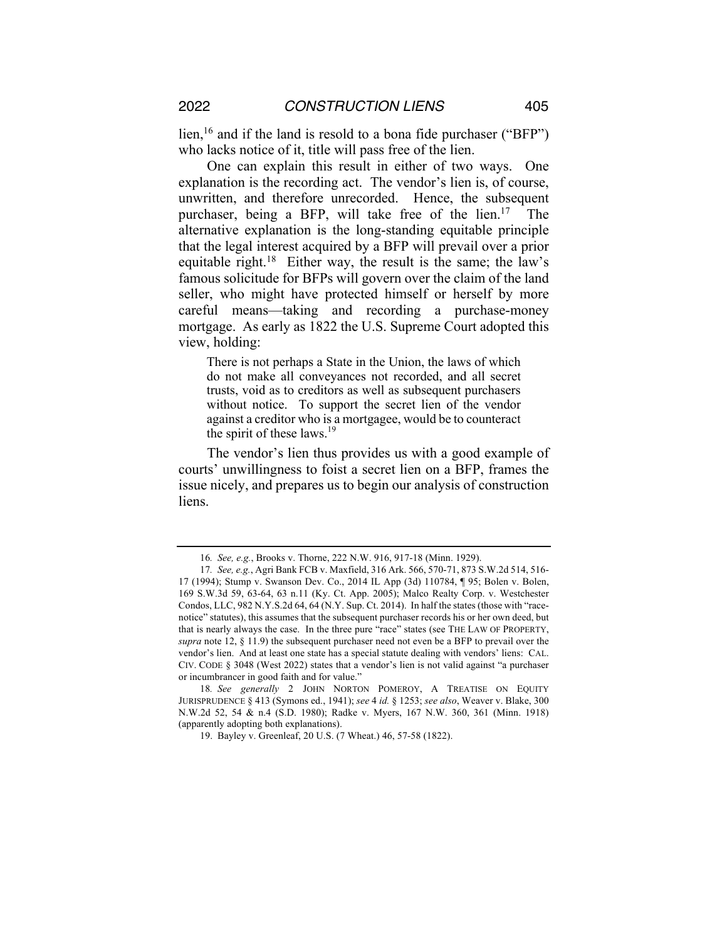lien,<sup>16</sup> and if the land is resold to a bona fide purchaser ("BFP") who lacks notice of it, title will pass free of the lien.

One can explain this result in either of two ways. One explanation is the recording act. The vendor's lien is, of course, unwritten, and therefore unrecorded. Hence, the subsequent purchaser, being a BFP, will take free of the lien.<sup>17</sup> The alternative explanation is the long-standing equitable principle that the legal interest acquired by a BFP will prevail over a prior equitable right.<sup>18</sup> Either way, the result is the same; the law's famous solicitude for BFPs will govern over the claim of the land seller, who might have protected himself or herself by more careful means—taking and recording a purchase-money mortgage. As early as 1822 the U.S. Supreme Court adopted this view, holding:

There is not perhaps a State in the Union, the laws of which do not make all conveyances not recorded, and all secret trusts, void as to creditors as well as subsequent purchasers without notice. To support the secret lien of the vendor against a creditor who is a mortgagee, would be to counteract the spirit of these laws.<sup>19</sup>

The vendor's lien thus provides us with a good example of courts' unwillingness to foist a secret lien on a BFP, frames the issue nicely, and prepares us to begin our analysis of construction liens.

<sup>16</sup>*. See, e.g.*, Brooks v. Thorne, 222 N.W. 916, 917-18 (Minn. 1929).

<sup>17</sup>*. See, e.g.*, Agri Bank FCB v. Maxfield, 316 Ark. 566, 570-71, 873 S.W.2d 514, 516- 17 (1994); Stump v. Swanson Dev. Co., 2014 IL App (3d) 110784, ¶ 95; Bolen v. Bolen, 169 S.W.3d 59, 63-64, 63 n.11 (Ky. Ct. App. 2005); Malco Realty Corp. v. Westchester Condos, LLC, 982 N.Y.S.2d 64, 64 (N.Y. Sup. Ct. 2014). In half the states (those with "racenotice" statutes), this assumes that the subsequent purchaser records his or her own deed, but that is nearly always the case. In the three pure "race" states (see THE LAW OF PROPERTY, *supra* note 12, § 11.9) the subsequent purchaser need not even be a BFP to prevail over the vendor's lien. And at least one state has a special statute dealing with vendors' liens: CAL. CIV. CODE § 3048 (West 2022) states that a vendor's lien is not valid against "a purchaser or incumbrancer in good faith and for value."

<sup>18</sup>*. See generally* 2 JOHN NORTON POMEROY, A TREATISE ON EQUITY JURISPRUDENCE § 413 (Symons ed., 1941); *see* 4 *id.* § 1253; *see also*, Weaver v. Blake, 300 N.W.2d 52, 54 & n.4 (S.D. 1980); Radke v. Myers, 167 N.W. 360, 361 (Minn. 1918) (apparently adopting both explanations).

<sup>19.</sup> Bayley v. Greenleaf, 20 U.S. (7 Wheat.) 46, 57-58 (1822).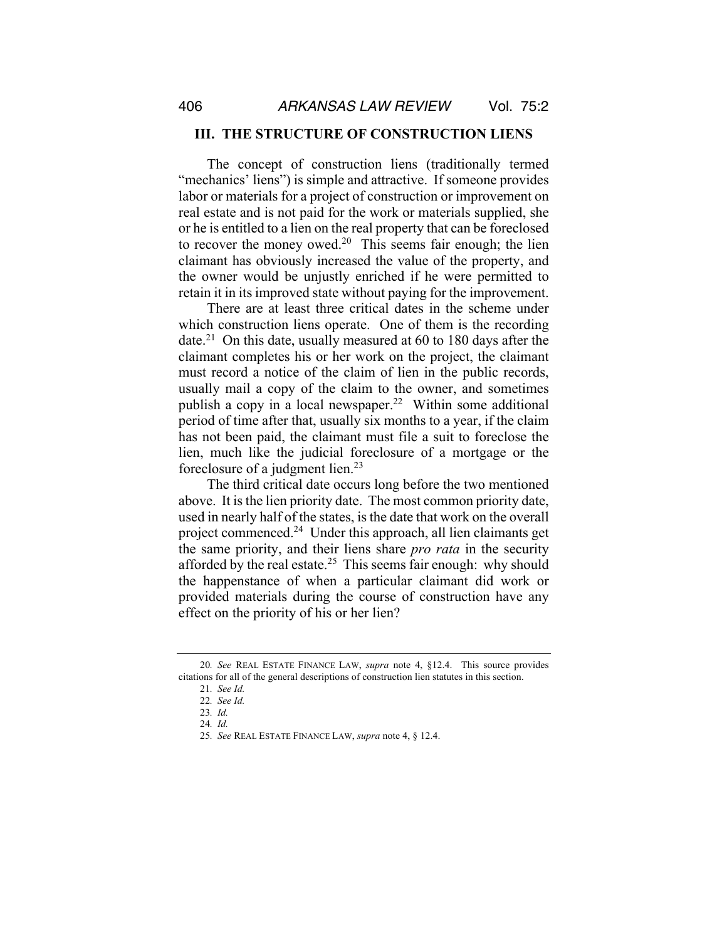#### **III. THE STRUCTURE OF CONSTRUCTION LIENS**

The concept of construction liens (traditionally termed "mechanics' liens") is simple and attractive. If someone provides labor or materials for a project of construction or improvement on real estate and is not paid for the work or materials supplied, she or he is entitled to a lien on the real property that can be foreclosed to recover the money owed.<sup>20</sup> This seems fair enough; the lien claimant has obviously increased the value of the property, and the owner would be unjustly enriched if he were permitted to retain it in its improved state without paying for the improvement.

There are at least three critical dates in the scheme under which construction liens operate. One of them is the recording date.<sup>21</sup> On this date, usually measured at 60 to 180 days after the claimant completes his or her work on the project, the claimant must record a notice of the claim of lien in the public records, usually mail a copy of the claim to the owner, and sometimes publish a copy in a local newspaper.<sup>22</sup> Within some additional period of time after that, usually six months to a year, if the claim has not been paid, the claimant must file a suit to foreclose the lien, much like the judicial foreclosure of a mortgage or the foreclosure of a judgment lien.<sup>23</sup>

The third critical date occurs long before the two mentioned above. It is the lien priority date. The most common priority date, used in nearly half of the states, is the date that work on the overall project commenced.24 Under this approach, all lien claimants get the same priority, and their liens share *pro rata* in the security afforded by the real estate.<sup>25</sup> This seems fair enough: why should the happenstance of when a particular claimant did work or provided materials during the course of construction have any effect on the priority of his or her lien?

<sup>20</sup>*. See* REAL ESTATE FINANCE LAW, *supra* note 4, §12.4. This source provides citations for all of the general descriptions of construction lien statutes in this section.

<sup>21</sup>*. See Id.*

<sup>22</sup>*. See Id.*

<sup>23</sup>*. Id.*

<sup>24</sup>*. Id.*

<sup>25</sup>*. See* REAL ESTATE FINANCE LAW, *supra* note 4, § 12.4.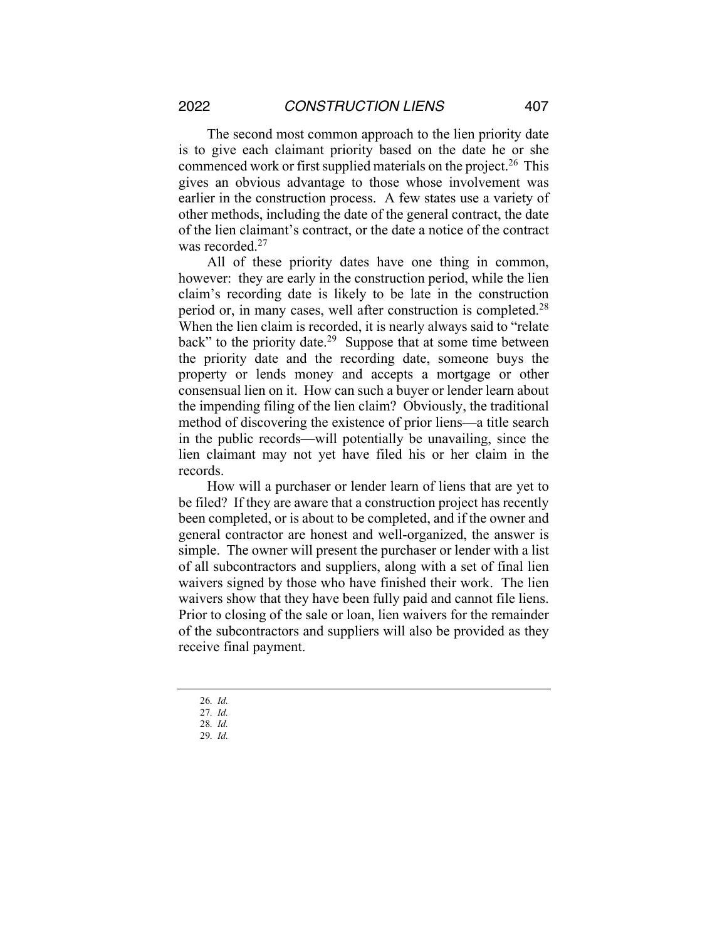The second most common approach to the lien priority date is to give each claimant priority based on the date he or she commenced work or first supplied materials on the project.<sup>26</sup> This gives an obvious advantage to those whose involvement was earlier in the construction process. A few states use a variety of other methods, including the date of the general contract, the date of the lien claimant's contract, or the date a notice of the contract was recorded.<sup>27</sup>

All of these priority dates have one thing in common, however: they are early in the construction period, while the lien claim's recording date is likely to be late in the construction period or, in many cases, well after construction is completed.28 When the lien claim is recorded, it is nearly always said to "relate back" to the priority date.<sup>29</sup> Suppose that at some time between the priority date and the recording date, someone buys the property or lends money and accepts a mortgage or other consensual lien on it. How can such a buyer or lender learn about the impending filing of the lien claim? Obviously, the traditional method of discovering the existence of prior liens—a title search in the public records—will potentially be unavailing, since the lien claimant may not yet have filed his or her claim in the records.

How will a purchaser or lender learn of liens that are yet to be filed? If they are aware that a construction project has recently been completed, or is about to be completed, and if the owner and general contractor are honest and well-organized, the answer is simple. The owner will present the purchaser or lender with a list of all subcontractors and suppliers, along with a set of final lien waivers signed by those who have finished their work. The lien waivers show that they have been fully paid and cannot file liens. Prior to closing of the sale or loan, lien waivers for the remainder of the subcontractors and suppliers will also be provided as they receive final payment.

- 26*. Id.*
- 27*. Id.*

<sup>28</sup>*. Id.*

<sup>29</sup>*. Id.*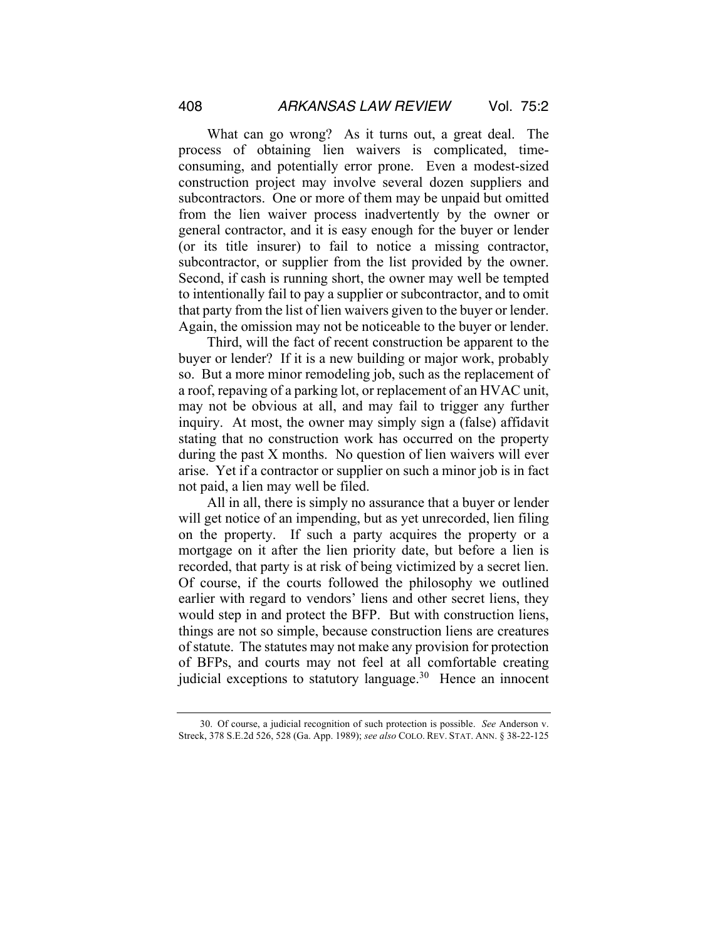What can go wrong? As it turns out, a great deal. The process of obtaining lien waivers is complicated, timeconsuming, and potentially error prone. Even a modest-sized construction project may involve several dozen suppliers and subcontractors. One or more of them may be unpaid but omitted from the lien waiver process inadvertently by the owner or general contractor, and it is easy enough for the buyer or lender (or its title insurer) to fail to notice a missing contractor, subcontractor, or supplier from the list provided by the owner. Second, if cash is running short, the owner may well be tempted to intentionally fail to pay a supplier or subcontractor, and to omit that party from the list of lien waivers given to the buyer or lender. Again, the omission may not be noticeable to the buyer or lender.

Third, will the fact of recent construction be apparent to the buyer or lender? If it is a new building or major work, probably so. But a more minor remodeling job, such as the replacement of a roof, repaving of a parking lot, or replacement of an HVAC unit, may not be obvious at all, and may fail to trigger any further inquiry. At most, the owner may simply sign a (false) affidavit stating that no construction work has occurred on the property during the past X months. No question of lien waivers will ever arise. Yet if a contractor or supplier on such a minor job is in fact not paid, a lien may well be filed.

All in all, there is simply no assurance that a buyer or lender will get notice of an impending, but as yet unrecorded, lien filing on the property. If such a party acquires the property or a mortgage on it after the lien priority date, but before a lien is recorded, that party is at risk of being victimized by a secret lien. Of course, if the courts followed the philosophy we outlined earlier with regard to vendors' liens and other secret liens, they would step in and protect the BFP. But with construction liens, things are not so simple, because construction liens are creatures of statute. The statutes may not make any provision for protection of BFPs, and courts may not feel at all comfortable creating judicial exceptions to statutory language. $30$  Hence an innocent

<sup>30.</sup> Of course, a judicial recognition of such protection is possible. *See* Anderson v. Streck, 378 S.E.2d 526, 528 (Ga. App. 1989); *see also* COLO. REV. STAT. ANN. § 38-22-125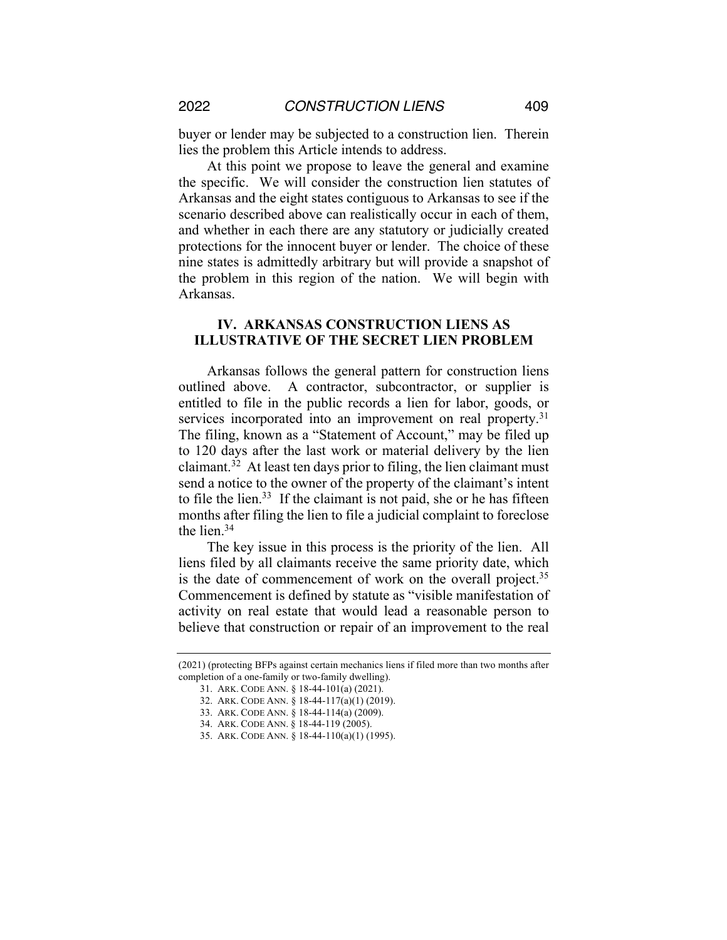buyer or lender may be subjected to a construction lien. Therein lies the problem this Article intends to address.

At this point we propose to leave the general and examine the specific. We will consider the construction lien statutes of Arkansas and the eight states contiguous to Arkansas to see if the scenario described above can realistically occur in each of them, and whether in each there are any statutory or judicially created protections for the innocent buyer or lender. The choice of these nine states is admittedly arbitrary but will provide a snapshot of the problem in this region of the nation. We will begin with Arkansas.

## **IV. ARKANSAS CONSTRUCTION LIENS AS ILLUSTRATIVE OF THE SECRET LIEN PROBLEM**

Arkansas follows the general pattern for construction liens outlined above. A contractor, subcontractor, or supplier is entitled to file in the public records a lien for labor, goods, or services incorporated into an improvement on real property.<sup>31</sup> The filing, known as a "Statement of Account," may be filed up to 120 days after the last work or material delivery by the lien claimant.<sup>32</sup> At least ten days prior to filing, the lien claimant must send a notice to the owner of the property of the claimant's intent to file the lien.<sup>33</sup> If the claimant is not paid, she or he has fifteen months after filing the lien to file a judicial complaint to foreclose the lien.34

The key issue in this process is the priority of the lien. All liens filed by all claimants receive the same priority date, which is the date of commencement of work on the overall project.<sup>35</sup> Commencement is defined by statute as "visible manifestation of activity on real estate that would lead a reasonable person to believe that construction or repair of an improvement to the real

<sup>(2021) (</sup>protecting BFPs against certain mechanics liens if filed more than two months after completion of a one-family or two-family dwelling).

<sup>31.</sup> ARK. CODE ANN. § 18-44-101(a) (2021).

<sup>32.</sup> ARK. CODE ANN. § 18-44-117(a)(1) (2019).

<sup>33.</sup> ARK. CODE ANN. § 18-44-114(a) (2009).

<sup>34.</sup> ARK. CODE ANN. § 18-44-119 (2005).

<sup>35.</sup> ARK. CODE ANN. § 18-44-110(a)(1) (1995).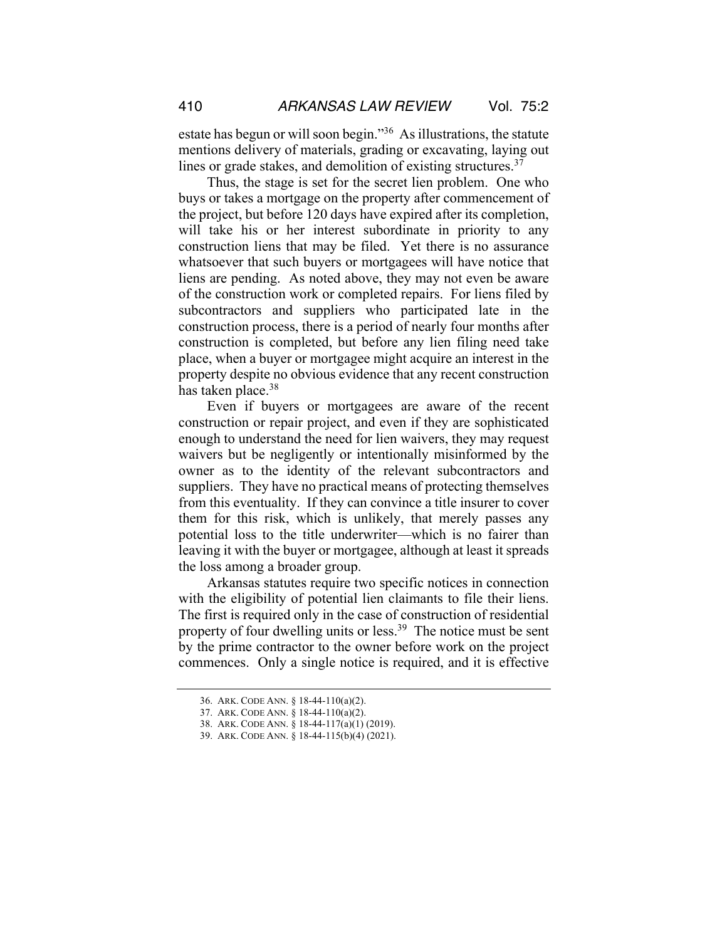estate has begun or will soon begin."36 As illustrations, the statute mentions delivery of materials, grading or excavating, laying out lines or grade stakes, and demolition of existing structures. $37$ 

Thus, the stage is set for the secret lien problem. One who buys or takes a mortgage on the property after commencement of the project, but before 120 days have expired after its completion, will take his or her interest subordinate in priority to any construction liens that may be filed. Yet there is no assurance whatsoever that such buyers or mortgagees will have notice that liens are pending. As noted above, they may not even be aware of the construction work or completed repairs. For liens filed by subcontractors and suppliers who participated late in the construction process, there is a period of nearly four months after construction is completed, but before any lien filing need take place, when a buyer or mortgagee might acquire an interest in the property despite no obvious evidence that any recent construction has taken place.<sup>38</sup>

Even if buyers or mortgagees are aware of the recent construction or repair project, and even if they are sophisticated enough to understand the need for lien waivers, they may request waivers but be negligently or intentionally misinformed by the owner as to the identity of the relevant subcontractors and suppliers. They have no practical means of protecting themselves from this eventuality. If they can convince a title insurer to cover them for this risk, which is unlikely, that merely passes any potential loss to the title underwriter—which is no fairer than leaving it with the buyer or mortgagee, although at least it spreads the loss among a broader group.

Arkansas statutes require two specific notices in connection with the eligibility of potential lien claimants to file their liens. The first is required only in the case of construction of residential property of four dwelling units or less.<sup>39</sup> The notice must be sent by the prime contractor to the owner before work on the project commences. Only a single notice is required, and it is effective

<sup>36.</sup> ARK. CODE ANN. § 18-44-110(a)(2).

<sup>37.</sup> ARK. CODE ANN. § 18-44-110(a)(2).

<sup>38.</sup> ARK. CODE ANN. § 18-44-117(a)(1) (2019).

<sup>39.</sup> ARK. CODE ANN. § 18-44-115(b)(4) (2021).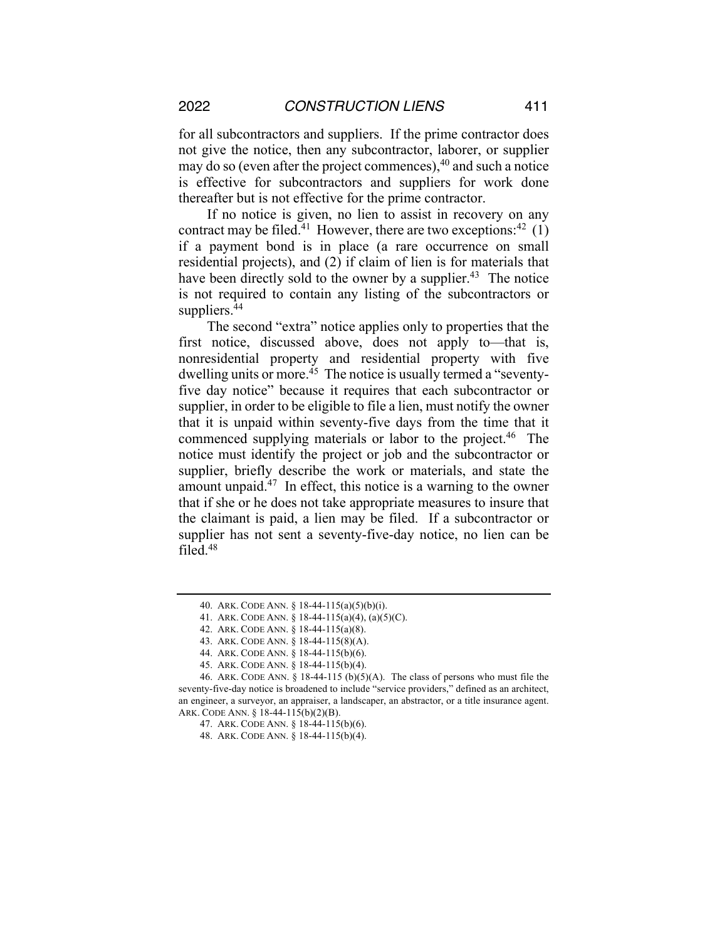2022 *CONSTRUCTION LIENS* 411

for all subcontractors and suppliers. If the prime contractor does not give the notice, then any subcontractor, laborer, or supplier may do so (even after the project commences), $40$  and such a notice is effective for subcontractors and suppliers for work done thereafter but is not effective for the prime contractor.

If no notice is given, no lien to assist in recovery on any contract may be filed.<sup>41</sup> However, there are two exceptions:<sup>42</sup> (1) if a payment bond is in place (a rare occurrence on small residential projects), and (2) if claim of lien is for materials that have been directly sold to the owner by a supplier.<sup>43</sup> The notice is not required to contain any listing of the subcontractors or suppliers.<sup>44</sup>

The second "extra" notice applies only to properties that the first notice, discussed above, does not apply to—that is, nonresidential property and residential property with five dwelling units or more.<sup>45</sup> The notice is usually termed a "seventyfive day notice" because it requires that each subcontractor or supplier, in order to be eligible to file a lien, must notify the owner that it is unpaid within seventy-five days from the time that it commenced supplying materials or labor to the project.<sup>46</sup> The notice must identify the project or job and the subcontractor or supplier, briefly describe the work or materials, and state the amount unpaid.<sup>47</sup> In effect, this notice is a warning to the owner that if she or he does not take appropriate measures to insure that the claimant is paid, a lien may be filed. If a subcontractor or supplier has not sent a seventy-five-day notice, no lien can be filed.48

<sup>40.</sup> ARK. CODE ANN. § 18-44-115(a)(5)(b)(i).

<sup>41.</sup> ARK. CODE ANN. § 18-44-115(a)(4), (a)(5)(C).

<sup>42.</sup> ARK. CODE ANN. § 18-44-115(a)(8).

<sup>43.</sup> ARK. CODE ANN. § 18-44-115(8)(A).

<sup>44.</sup> ARK. CODE ANN. § 18-44-115(b)(6).

<sup>45.</sup> ARK. CODE ANN. § 18-44-115(b)(4).

<sup>46.</sup> ARK. CODE ANN.  $\S$  18-44-115 (b)(5)(A). The class of persons who must file the seventy-five-day notice is broadened to include "service providers," defined as an architect, an engineer, a surveyor, an appraiser, a landscaper, an abstractor, or a title insurance agent. ARK. CODE ANN. § 18-44-115(b)(2)(B).

<sup>47.</sup> ARK. CODE ANN. § 18-44-115(b)(6).

<sup>48.</sup> ARK. CODE ANN. § 18-44-115(b)(4).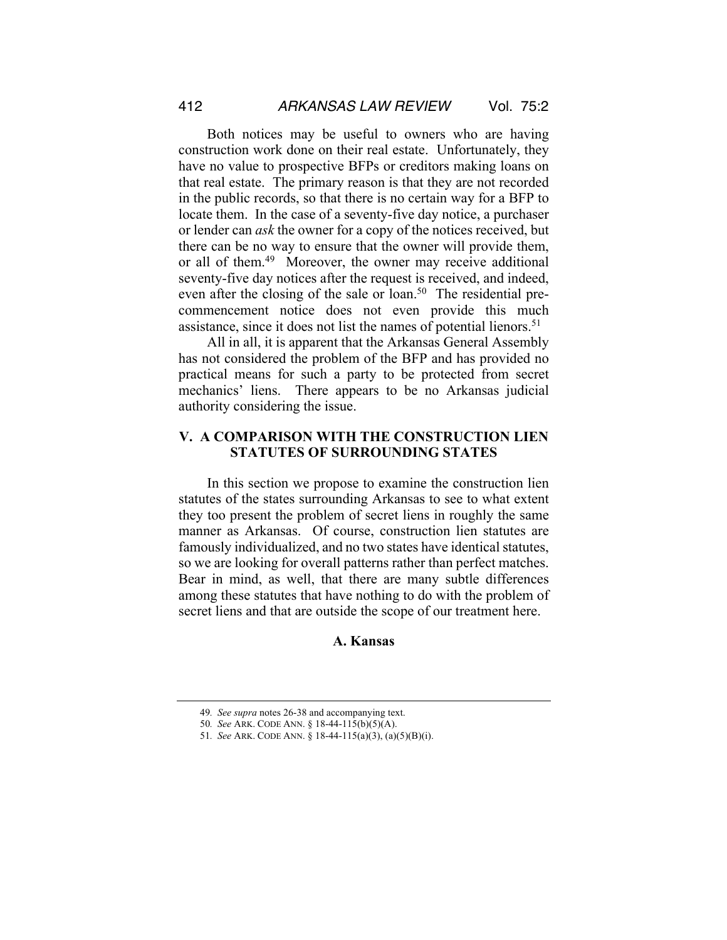Both notices may be useful to owners who are having construction work done on their real estate. Unfortunately, they have no value to prospective BFPs or creditors making loans on that real estate. The primary reason is that they are not recorded in the public records, so that there is no certain way for a BFP to locate them. In the case of a seventy-five day notice, a purchaser or lender can *ask* the owner for a copy of the notices received, but there can be no way to ensure that the owner will provide them, or all of them.49 Moreover, the owner may receive additional seventy-five day notices after the request is received, and indeed, even after the closing of the sale or loan.<sup>50</sup> The residential precommencement notice does not even provide this much assistance, since it does not list the names of potential lienors.<sup>51</sup>

All in all, it is apparent that the Arkansas General Assembly has not considered the problem of the BFP and has provided no practical means for such a party to be protected from secret mechanics' liens. There appears to be no Arkansas judicial authority considering the issue.

# **V. A COMPARISON WITH THE CONSTRUCTION LIEN STATUTES OF SURROUNDING STATES**

In this section we propose to examine the construction lien statutes of the states surrounding Arkansas to see to what extent they too present the problem of secret liens in roughly the same manner as Arkansas. Of course, construction lien statutes are famously individualized, and no two states have identical statutes, so we are looking for overall patterns rather than perfect matches. Bear in mind, as well, that there are many subtle differences among these statutes that have nothing to do with the problem of secret liens and that are outside the scope of our treatment here.

#### **A. Kansas**

<sup>49</sup>*. See supra* notes 26-38 and accompanying text.

<sup>50</sup>*. See* ARK. CODE ANN. § 18-44-115(b)(5)(A).

<sup>51</sup>*. See* ARK. CODE ANN. § 18-44-115(a)(3), (a)(5)(B)(i).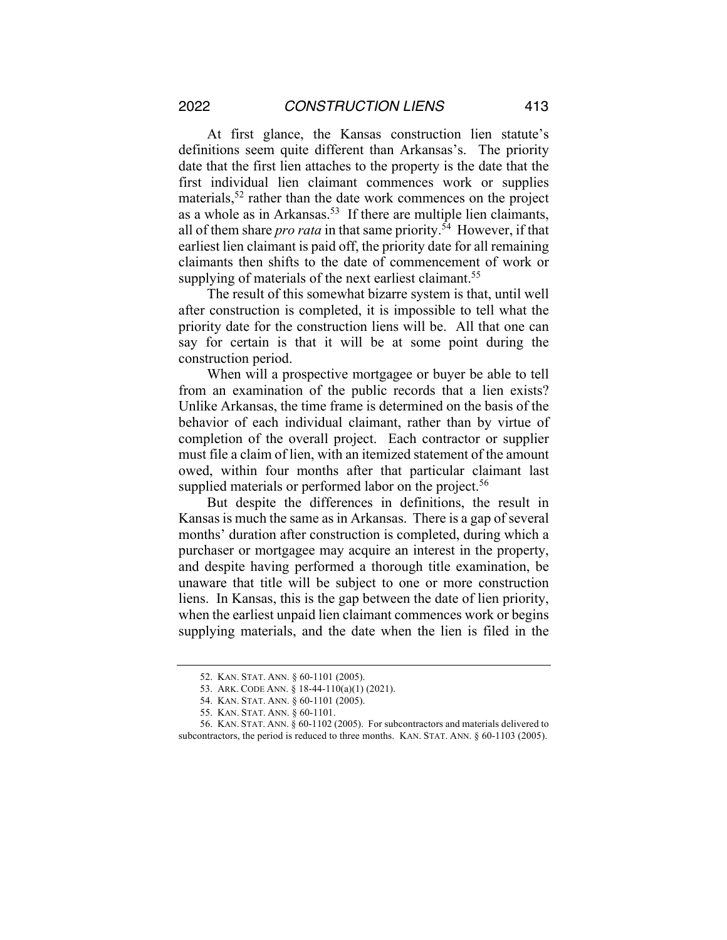At first glance, the Kansas construction lien statute's definitions seem quite different than Arkansas's. The priority date that the first lien attaches to the property is the date that the first individual lien claimant commences work or supplies materials,<sup>52</sup> rather than the date work commences on the project as a whole as in Arkansas.<sup>53</sup> If there are multiple lien claimants, all of them share *pro rata* in that same priority.54 However, if that earliest lien claimant is paid off, the priority date for all remaining claimants then shifts to the date of commencement of work or supplying of materials of the next earliest claimant.<sup>55</sup>

The result of this somewhat bizarre system is that, until well after construction is completed, it is impossible to tell what the priority date for the construction liens will be. All that one can say for certain is that it will be at some point during the construction period.

When will a prospective mortgagee or buyer be able to tell from an examination of the public records that a lien exists? Unlike Arkansas, the time frame is determined on the basis of the behavior of each individual claimant, rather than by virtue of completion of the overall project. Each contractor or supplier must file a claim of lien, with an itemized statement of the amount owed, within four months after that particular claimant last supplied materials or performed labor on the project.<sup>56</sup>

But despite the differences in definitions, the result in Kansas is much the same as in Arkansas. There is a gap of several months' duration after construction is completed, during which a purchaser or mortgagee may acquire an interest in the property, and despite having performed a thorough title examination, be unaware that title will be subject to one or more construction liens. In Kansas, this is the gap between the date of lien priority, when the earliest unpaid lien claimant commences work or begins supplying materials, and the date when the lien is filed in the

<sup>52.</sup> KAN. STAT. ANN. § 60-1101 (2005).

<sup>53.</sup> ARK. CODE ANN. § 18-44-110(a)(1) (2021).

<sup>54.</sup> KAN. STAT. ANN. § 60-1101 (2005).

<sup>55.</sup> KAN. STAT. ANN. § 60-1101.

<sup>56.</sup> KAN. STAT. ANN. § 60-1102 (2005). For subcontractors and materials delivered to subcontractors, the period is reduced to three months. KAN. STAT. ANN. § 60-1103 (2005).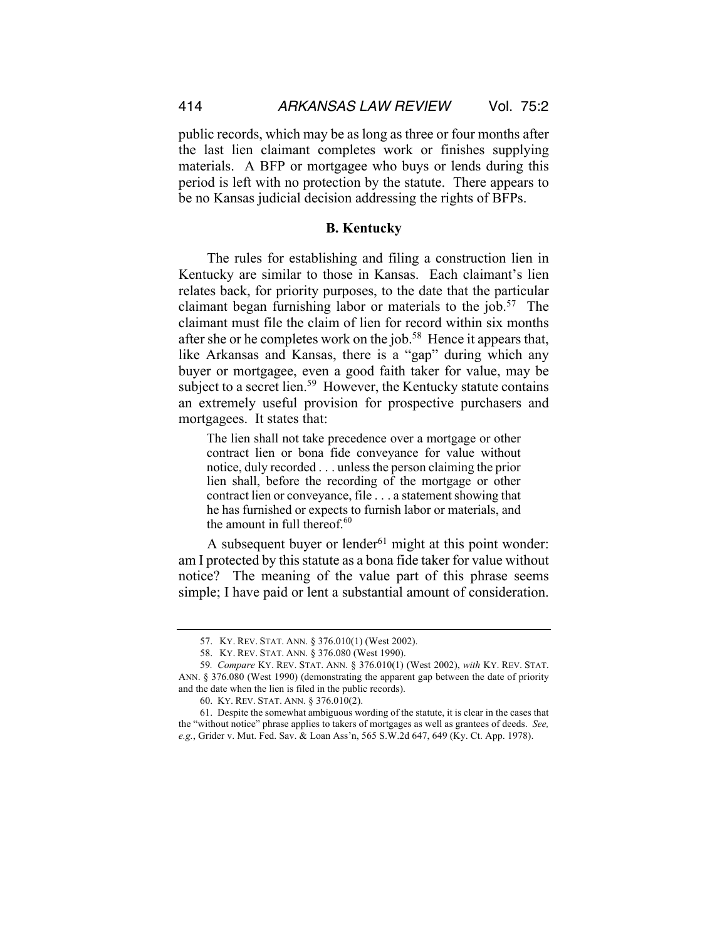public records, which may be as long as three or four months after the last lien claimant completes work or finishes supplying materials. A BFP or mortgagee who buys or lends during this period is left with no protection by the statute. There appears to be no Kansas judicial decision addressing the rights of BFPs.

#### **B. Kentucky**

The rules for establishing and filing a construction lien in Kentucky are similar to those in Kansas. Each claimant's lien relates back, for priority purposes, to the date that the particular claimant began furnishing labor or materials to the job.<sup>57</sup> The claimant must file the claim of lien for record within six months after she or he completes work on the job.<sup>58</sup> Hence it appears that, like Arkansas and Kansas, there is a "gap" during which any buyer or mortgagee, even a good faith taker for value, may be subject to a secret lien.<sup>59</sup> However, the Kentucky statute contains an extremely useful provision for prospective purchasers and mortgagees. It states that:

The lien shall not take precedence over a mortgage or other contract lien or bona fide conveyance for value without notice, duly recorded . . . unless the person claiming the prior lien shall, before the recording of the mortgage or other contract lien or conveyance, file . . . a statement showing that he has furnished or expects to furnish labor or materials, and the amount in full thereof. $60$ 

A subsequent buyer or lender $61$  might at this point wonder: am I protected by this statute as a bona fide taker for value without notice? The meaning of the value part of this phrase seems simple; I have paid or lent a substantial amount of consideration.

<sup>57.</sup> KY. REV. STAT. ANN. § 376.010(1) (West 2002).

<sup>58.</sup> KY. REV. STAT. ANN. § 376.080 (West 1990).

<sup>59</sup>*. Compare* KY. REV. STAT. ANN. § 376.010(1) (West 2002), *with* KY. REV. STAT. ANN. § 376.080 (West 1990) (demonstrating the apparent gap between the date of priority and the date when the lien is filed in the public records).

<sup>60.</sup> KY. REV. STAT. ANN. § 376.010(2).

<sup>61.</sup> Despite the somewhat ambiguous wording of the statute, it is clear in the cases that the "without notice" phrase applies to takers of mortgages as well as grantees of deeds. *See, e.g.*, Grider v. Mut. Fed. Sav. & Loan Ass'n, 565 S.W.2d 647, 649 (Ky. Ct. App. 1978).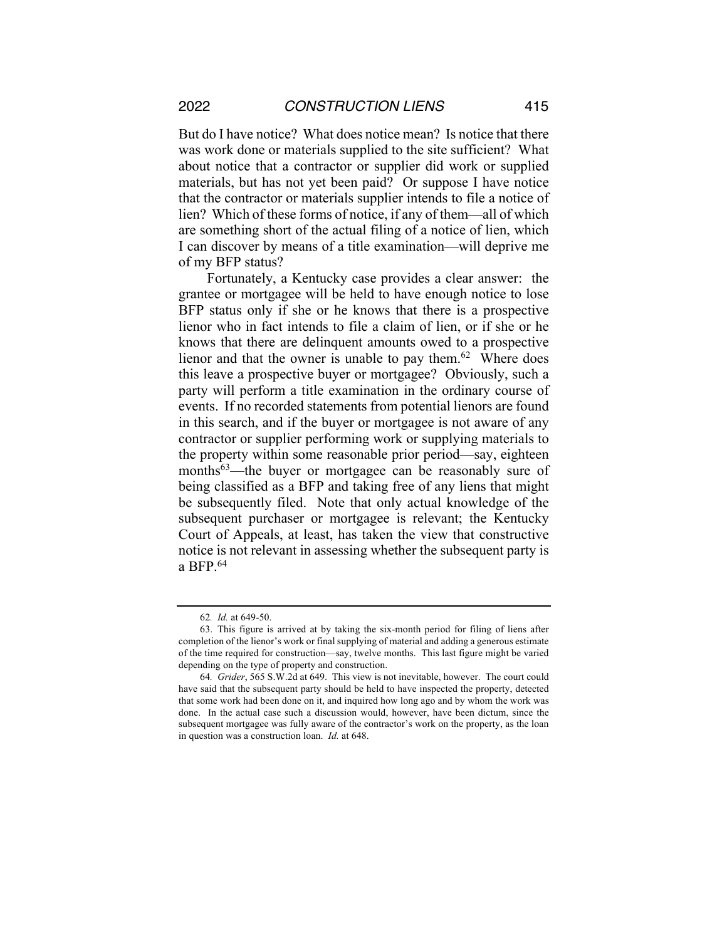But do I have notice? What does notice mean? Is notice that there was work done or materials supplied to the site sufficient? What about notice that a contractor or supplier did work or supplied materials, but has not yet been paid? Or suppose I have notice that the contractor or materials supplier intends to file a notice of lien? Which of these forms of notice, if any of them—all of which are something short of the actual filing of a notice of lien, which I can discover by means of a title examination—will deprive me of my BFP status?

Fortunately, a Kentucky case provides a clear answer: the grantee or mortgagee will be held to have enough notice to lose BFP status only if she or he knows that there is a prospective lienor who in fact intends to file a claim of lien, or if she or he knows that there are delinquent amounts owed to a prospective lienor and that the owner is unable to pay them.<sup>62</sup> Where does this leave a prospective buyer or mortgagee? Obviously, such a party will perform a title examination in the ordinary course of events. If no recorded statements from potential lienors are found in this search, and if the buyer or mortgagee is not aware of any contractor or supplier performing work or supplying materials to the property within some reasonable prior period—say, eighteen months<sup>63</sup>—the buyer or mortgagee can be reasonably sure of being classified as a BFP and taking free of any liens that might be subsequently filed. Note that only actual knowledge of the subsequent purchaser or mortgagee is relevant; the Kentucky Court of Appeals, at least, has taken the view that constructive notice is not relevant in assessing whether the subsequent party is a BFP.64

<sup>62</sup>*. Id.* at 649-50.

<sup>63.</sup> This figure is arrived at by taking the six-month period for filing of liens after completion of the lienor's work or final supplying of material and adding a generous estimate of the time required for construction—say, twelve months. This last figure might be varied depending on the type of property and construction.

<sup>64</sup>*. Grider*, 565 S.W.2d at 649. This view is not inevitable, however. The court could have said that the subsequent party should be held to have inspected the property, detected that some work had been done on it, and inquired how long ago and by whom the work was done. In the actual case such a discussion would, however, have been dictum, since the subsequent mortgagee was fully aware of the contractor's work on the property, as the loan in question was a construction loan. *Id.* at 648.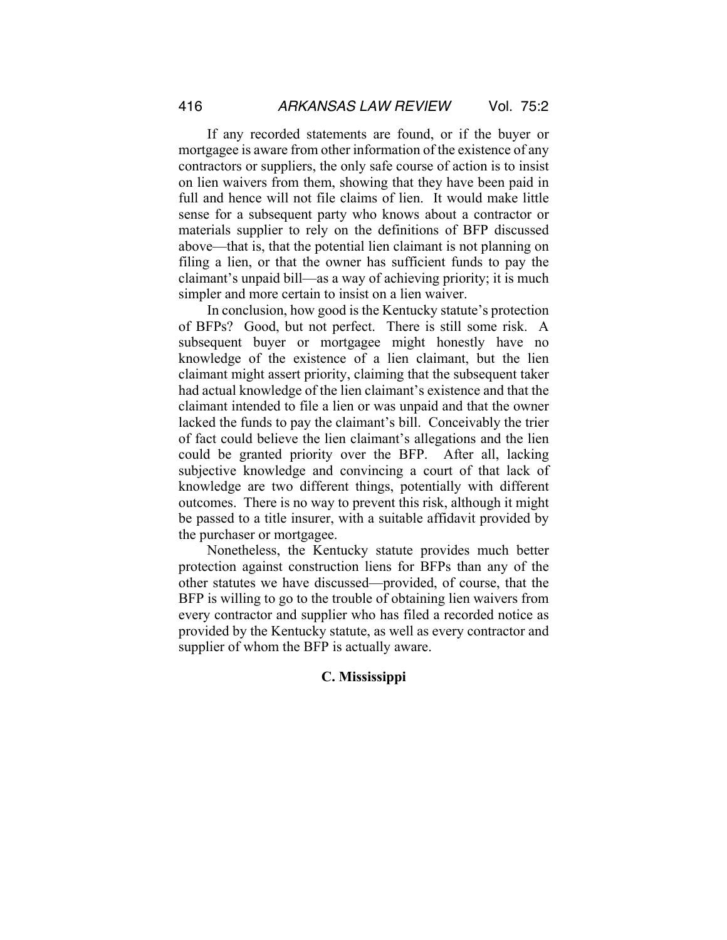If any recorded statements are found, or if the buyer or mortgagee is aware from other information of the existence of any contractors or suppliers, the only safe course of action is to insist on lien waivers from them, showing that they have been paid in full and hence will not file claims of lien. It would make little sense for a subsequent party who knows about a contractor or materials supplier to rely on the definitions of BFP discussed above—that is, that the potential lien claimant is not planning on filing a lien, or that the owner has sufficient funds to pay the claimant's unpaid bill—as a way of achieving priority; it is much simpler and more certain to insist on a lien waiver.

In conclusion, how good is the Kentucky statute's protection of BFPs? Good, but not perfect. There is still some risk. A subsequent buyer or mortgagee might honestly have no knowledge of the existence of a lien claimant, but the lien claimant might assert priority, claiming that the subsequent taker had actual knowledge of the lien claimant's existence and that the claimant intended to file a lien or was unpaid and that the owner lacked the funds to pay the claimant's bill. Conceivably the trier of fact could believe the lien claimant's allegations and the lien could be granted priority over the BFP. After all, lacking subjective knowledge and convincing a court of that lack of knowledge are two different things, potentially with different outcomes. There is no way to prevent this risk, although it might be passed to a title insurer, with a suitable affidavit provided by the purchaser or mortgagee.

Nonetheless, the Kentucky statute provides much better protection against construction liens for BFPs than any of the other statutes we have discussed—provided, of course, that the BFP is willing to go to the trouble of obtaining lien waivers from every contractor and supplier who has filed a recorded notice as provided by the Kentucky statute, as well as every contractor and supplier of whom the BFP is actually aware.

#### **C. Mississippi**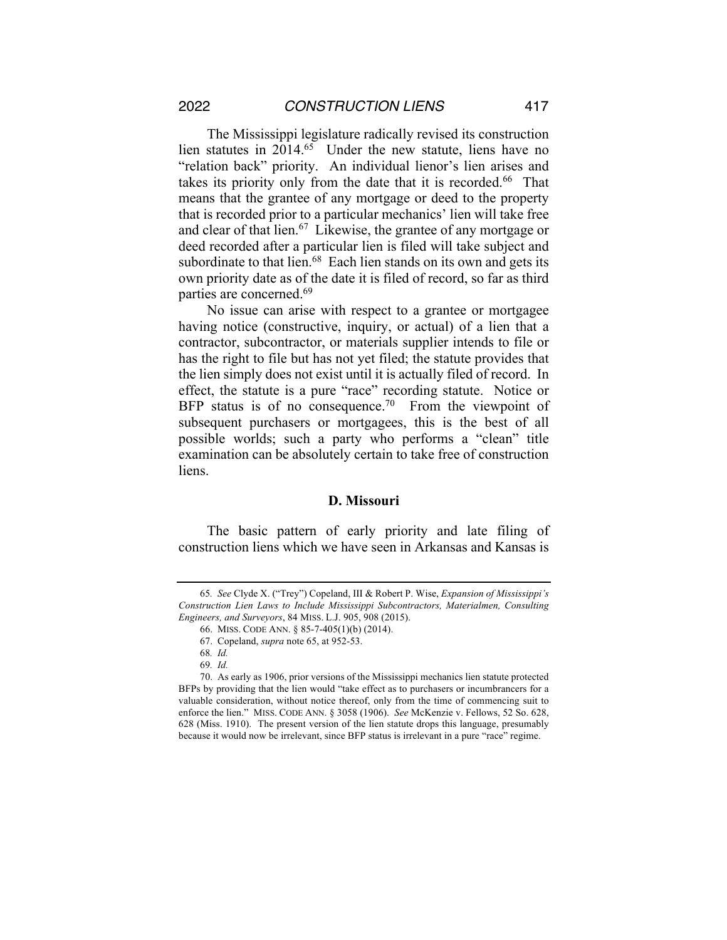The Mississippi legislature radically revised its construction lien statutes in 2014.65 Under the new statute, liens have no "relation back" priority. An individual lienor's lien arises and takes its priority only from the date that it is recorded.<sup>66</sup> That means that the grantee of any mortgage or deed to the property that is recorded prior to a particular mechanics' lien will take free and clear of that lien.<sup>67</sup> Likewise, the grantee of any mortgage or deed recorded after a particular lien is filed will take subject and subordinate to that lien.<sup>68</sup> Each lien stands on its own and gets its own priority date as of the date it is filed of record, so far as third parties are concerned.69

No issue can arise with respect to a grantee or mortgagee having notice (constructive, inquiry, or actual) of a lien that a contractor, subcontractor, or materials supplier intends to file or has the right to file but has not yet filed; the statute provides that the lien simply does not exist until it is actually filed of record. In effect, the statute is a pure "race" recording statute. Notice or BFP status is of no consequence.<sup>70</sup> From the viewpoint of subsequent purchasers or mortgagees, this is the best of all possible worlds; such a party who performs a "clean" title examination can be absolutely certain to take free of construction liens.

#### **D. Missouri**

The basic pattern of early priority and late filing of construction liens which we have seen in Arkansas and Kansas is

<sup>65</sup>*. See* Clyde X. ("Trey") Copeland, III & Robert P. Wise, *Expansion of Mississippi's Construction Lien Laws to Include Mississippi Subcontractors, Materialmen, Consulting Engineers, and Surveyors*, 84 MISS. L.J. 905, 908 (2015).

<sup>66.</sup> MISS. CODE ANN. § 85-7-405(1)(b) (2014).

<sup>67.</sup> Copeland, *supra* note 65, at 952-53.

<sup>68</sup>*. Id.*

<sup>69</sup>*. Id.*

<sup>70.</sup> As early as 1906, prior versions of the Mississippi mechanics lien statute protected BFPs by providing that the lien would "take effect as to purchasers or incumbrancers for a valuable consideration, without notice thereof, only from the time of commencing suit to enforce the lien." MISS. CODE ANN. § 3058 (1906). *See* McKenzie v. Fellows, 52 So. 628, 628 (Miss. 1910). The present version of the lien statute drops this language, presumably because it would now be irrelevant, since BFP status is irrelevant in a pure "race" regime.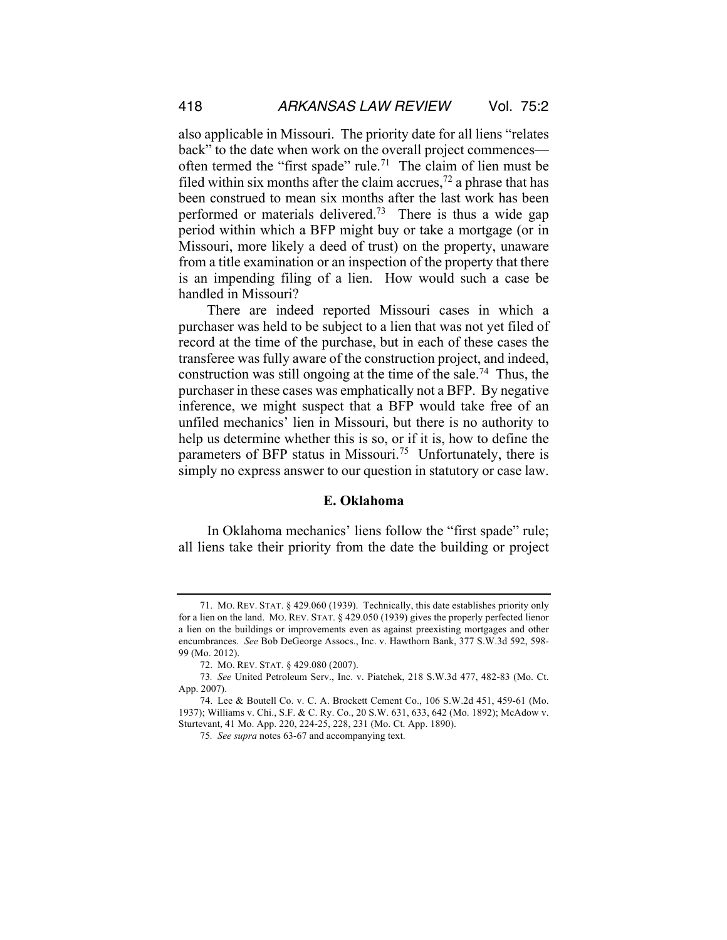also applicable in Missouri. The priority date for all liens "relates back" to the date when work on the overall project commences often termed the "first spade" rule.<sup>71</sup> The claim of lien must be filed within six months after the claim accrues,<sup>72</sup> a phrase that has been construed to mean six months after the last work has been performed or materials delivered.73 There is thus a wide gap period within which a BFP might buy or take a mortgage (or in Missouri, more likely a deed of trust) on the property, unaware from a title examination or an inspection of the property that there is an impending filing of a lien. How would such a case be handled in Missouri?

There are indeed reported Missouri cases in which a purchaser was held to be subject to a lien that was not yet filed of record at the time of the purchase, but in each of these cases the transferee was fully aware of the construction project, and indeed, construction was still ongoing at the time of the sale.<sup>74</sup> Thus, the purchaser in these cases was emphatically not a BFP. By negative inference, we might suspect that a BFP would take free of an unfiled mechanics' lien in Missouri, but there is no authority to help us determine whether this is so, or if it is, how to define the parameters of BFP status in Missouri.<sup>75</sup> Unfortunately, there is simply no express answer to our question in statutory or case law.

#### **E. Oklahoma**

In Oklahoma mechanics' liens follow the "first spade" rule; all liens take their priority from the date the building or project

<sup>71.</sup> MO. REV. STAT. § 429.060 (1939). Technically, this date establishes priority only for a lien on the land. MO. REV. STAT. § 429.050 (1939) gives the properly perfected lienor a lien on the buildings or improvements even as against preexisting mortgages and other encumbrances. *See* Bob DeGeorge Assocs., Inc. v. Hawthorn Bank, 377 S.W.3d 592, 598- 99 (Mo. 2012).

<sup>72.</sup> MO. REV. STAT. § 429.080 (2007).

<sup>73</sup>*. See* United Petroleum Serv., Inc. v. Piatchek, 218 S.W.3d 477, 482-83 (Mo. Ct. App. 2007).

<sup>74.</sup> Lee & Boutell Co. v. C. A. Brockett Cement Co., 106 S.W.2d 451, 459-61 (Mo. 1937); Williams v. Chi., S.F. & C. Ry. Co., 20 S.W. 631, 633, 642 (Mo. 1892); McAdow v. Sturtevant, 41 Mo. App. 220, 224-25, 228, 231 (Mo. Ct. App. 1890).

<sup>75</sup>*. See supra* notes 63-67 and accompanying text.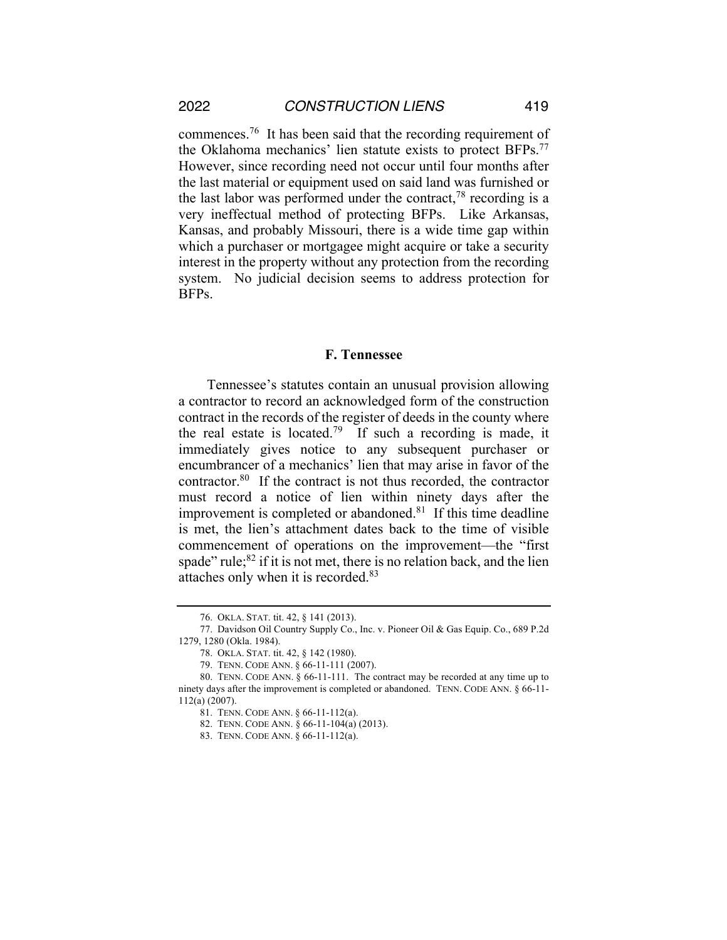commences.76 It has been said that the recording requirement of the Oklahoma mechanics' lien statute exists to protect BFPs.77 However, since recording need not occur until four months after the last material or equipment used on said land was furnished or the last labor was performed under the contract,  $78$  recording is a very ineffectual method of protecting BFPs. Like Arkansas, Kansas, and probably Missouri, there is a wide time gap within which a purchaser or mortgagee might acquire or take a security interest in the property without any protection from the recording system. No judicial decision seems to address protection for BFPs.

#### **F. Tennessee**

Tennessee's statutes contain an unusual provision allowing a contractor to record an acknowledged form of the construction contract in the records of the register of deeds in the county where the real estate is located.<sup>79</sup> If such a recording is made, it immediately gives notice to any subsequent purchaser or encumbrancer of a mechanics' lien that may arise in favor of the contractor.80 If the contract is not thus recorded, the contractor must record a notice of lien within ninety days after the improvement is completed or abandoned.<sup>81</sup> If this time deadline is met, the lien's attachment dates back to the time of visible commencement of operations on the improvement—the "first spade" rule; ${}^{82}$  if it is not met, there is no relation back, and the lien attaches only when it is recorded.83

<sup>76.</sup> OKLA. STAT. tit. 42, § 141 (2013).

<sup>77.</sup> Davidson Oil Country Supply Co., Inc. v. Pioneer Oil & Gas Equip. Co., 689 P.2d 1279, 1280 (Okla. 1984).

<sup>78.</sup> OKLA. STAT. tit. 42, § 142 (1980).

<sup>79.</sup> TENN. CODE ANN. § 66-11-111 (2007).

<sup>80.</sup> TENN. CODE ANN. § 66-11-111. The contract may be recorded at any time up to ninety days after the improvement is completed or abandoned. TENN. CODE ANN. § 66-11- 112(a) (2007).

<sup>81.</sup> TENN. CODE ANN. § 66-11-112(a).

<sup>82.</sup> TENN. CODE ANN. § 66-11-104(a) (2013).

<sup>83.</sup> TENN. CODE ANN. § 66-11-112(a).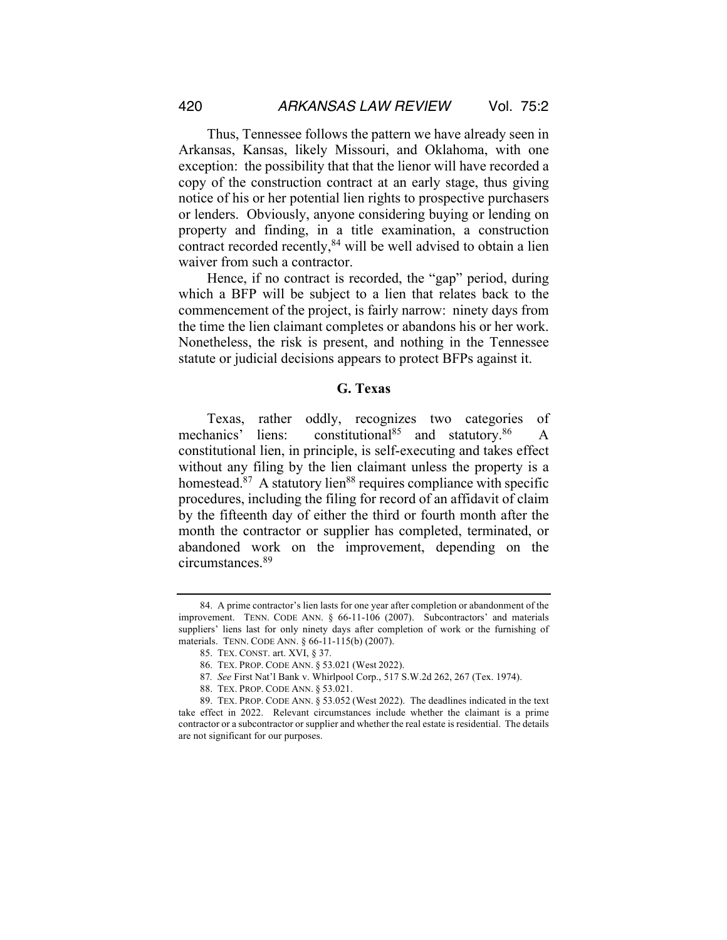Thus, Tennessee follows the pattern we have already seen in Arkansas, Kansas, likely Missouri, and Oklahoma, with one exception: the possibility that that the lienor will have recorded a copy of the construction contract at an early stage, thus giving notice of his or her potential lien rights to prospective purchasers or lenders. Obviously, anyone considering buying or lending on property and finding, in a title examination, a construction contract recorded recently,<sup>84</sup> will be well advised to obtain a lien waiver from such a contractor.

Hence, if no contract is recorded, the "gap" period, during which a BFP will be subject to a lien that relates back to the commencement of the project, is fairly narrow: ninety days from the time the lien claimant completes or abandons his or her work. Nonetheless, the risk is present, and nothing in the Tennessee statute or judicial decisions appears to protect BFPs against it.

#### **G. Texas**

Texas, rather oddly, recognizes two categories of mechanics' liens: constitutional<sup>85</sup> and statutory.<sup>86</sup> A constitutional lien, in principle, is self-executing and takes effect without any filing by the lien claimant unless the property is a homestead. $87$  A statutory lien $88$  requires compliance with specific procedures, including the filing for record of an affidavit of claim by the fifteenth day of either the third or fourth month after the month the contractor or supplier has completed, terminated, or abandoned work on the improvement, depending on the circumstances.89

<sup>84.</sup> A prime contractor's lien lasts for one year after completion or abandonment of the improvement. TENN. CODE ANN. § 66-11-106 (2007). Subcontractors' and materials suppliers' liens last for only ninety days after completion of work or the furnishing of materials. TENN. CODE ANN. § 66-11-115(b) (2007).

<sup>85.</sup> TEX. CONST. art. XVI, § 37.

<sup>86.</sup> TEX. PROP. CODE ANN. § 53.021 (West 2022).

<sup>87</sup>*. See* First Nat'l Bank v. Whirlpool Corp., 517 S.W.2d 262, 267 (Tex. 1974).

<sup>88.</sup> TEX. PROP. CODE ANN. § 53.021.

<sup>89.</sup> TEX. PROP. CODE ANN. § 53.052 (West 2022). The deadlines indicated in the text take effect in 2022. Relevant circumstances include whether the claimant is a prime contractor or a subcontractor or supplier and whether the real estate is residential. The details are not significant for our purposes.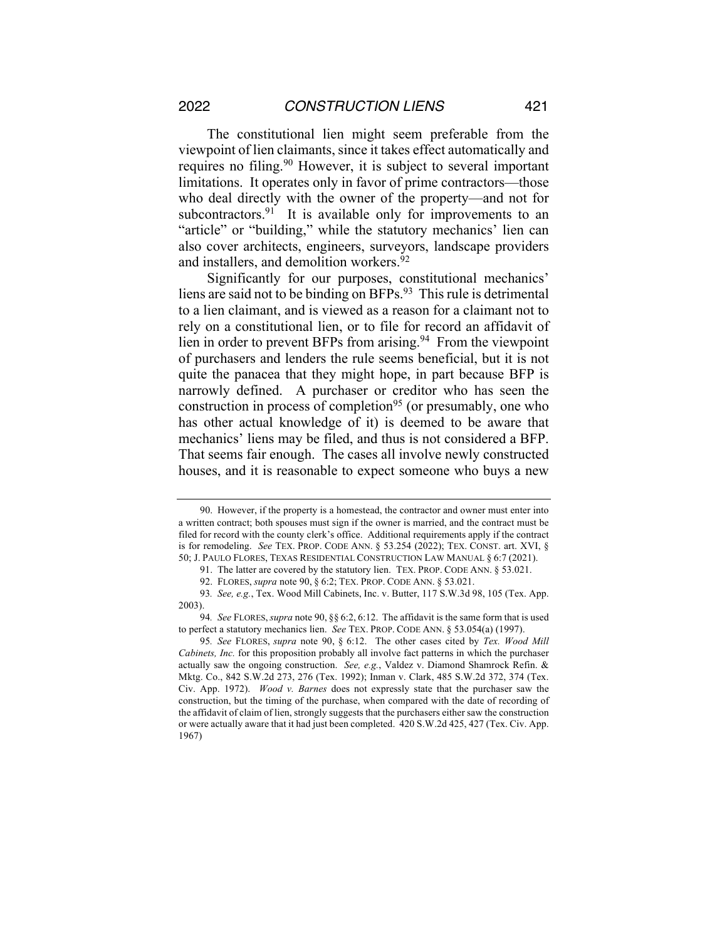The constitutional lien might seem preferable from the viewpoint of lien claimants, since it takes effect automatically and requires no filing.<sup>90</sup> However, it is subject to several important limitations. It operates only in favor of prime contractors—those who deal directly with the owner of the property—and not for subcontractors.<sup>91</sup> It is available only for improvements to an "article" or "building," while the statutory mechanics' lien can also cover architects, engineers, surveyors, landscape providers and installers, and demolition workers.<sup>92</sup>

Significantly for our purposes, constitutional mechanics' liens are said not to be binding on BFPs.93 This rule is detrimental to a lien claimant, and is viewed as a reason for a claimant not to rely on a constitutional lien, or to file for record an affidavit of lien in order to prevent BFPs from arising.<sup>94</sup> From the viewpoint of purchasers and lenders the rule seems beneficial, but it is not quite the panacea that they might hope, in part because BFP is narrowly defined. A purchaser or creditor who has seen the construction in process of completion<sup>95</sup> (or presumably, one who has other actual knowledge of it) is deemed to be aware that mechanics' liens may be filed, and thus is not considered a BFP. That seems fair enough. The cases all involve newly constructed houses, and it is reasonable to expect someone who buys a new

<sup>90.</sup> However, if the property is a homestead, the contractor and owner must enter into a written contract; both spouses must sign if the owner is married, and the contract must be filed for record with the county clerk's office. Additional requirements apply if the contract is for remodeling. *See* TEX. PROP. CODE ANN. § 53.254 (2022); TEX. CONST. art. XVI, § 50; J. PAULO FLORES, TEXAS RESIDENTIAL CONSTRUCTION LAW MANUAL § 6:7 (2021).

<sup>91.</sup> The latter are covered by the statutory lien. TEX. PROP. CODE ANN. § 53.021.

<sup>92.</sup> FLORES, *supra* note 90, § 6:2; TEX. PROP. CODE ANN. § 53.021.

<sup>93</sup>*. See, e.g.*, Tex. Wood Mill Cabinets, Inc. v. Butter, 117 S.W.3d 98, 105 (Tex. App. 2003).

<sup>94</sup>*. See* FLORES,*supra* note 90, §§ 6:2, 6:12. The affidavit is the same form that is used to perfect a statutory mechanics lien. *See* TEX. PROP. CODE ANN. § 53.054(a) (1997).

<sup>95</sup>*. See* FLORES, *supra* note 90, § 6:12. The other cases cited by *Tex. Wood Mill Cabinets, Inc.* for this proposition probably all involve fact patterns in which the purchaser actually saw the ongoing construction. *See, e.g.*, Valdez v. Diamond Shamrock Refin. & Mktg. Co., 842 S.W.2d 273, 276 (Tex. 1992); Inman v. Clark, 485 S.W.2d 372, 374 (Tex. Civ. App. 1972). *Wood v. Barnes* does not expressly state that the purchaser saw the construction, but the timing of the purchase, when compared with the date of recording of the affidavit of claim of lien, strongly suggests that the purchasers either saw the construction or were actually aware that it had just been completed. 420 S.W.2d 425, 427 (Tex. Civ. App. 1967)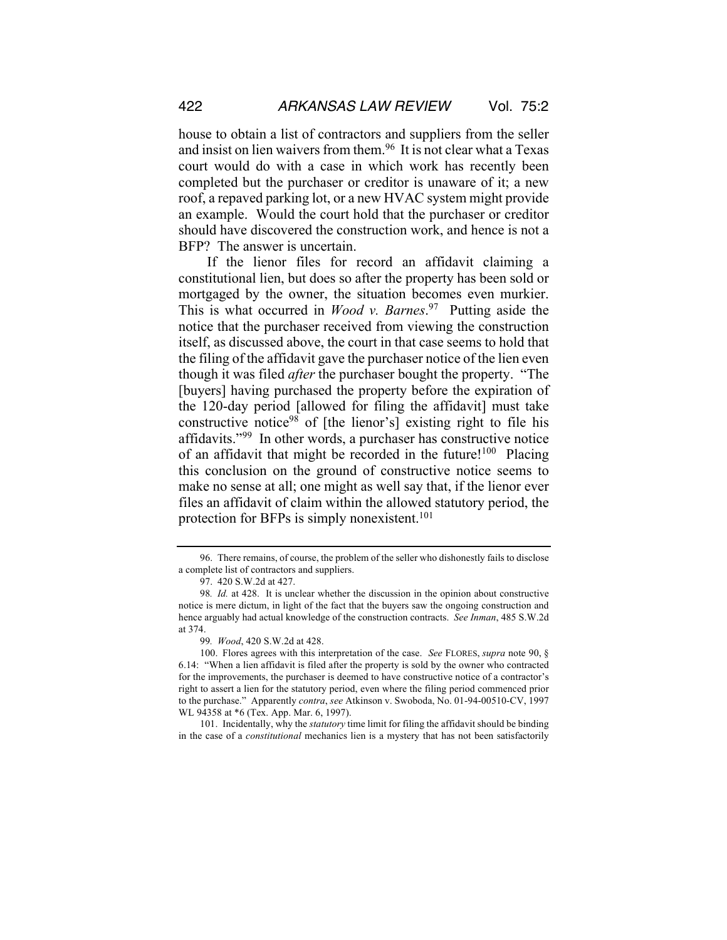house to obtain a list of contractors and suppliers from the seller and insist on lien waivers from them.96 It is not clear what a Texas court would do with a case in which work has recently been completed but the purchaser or creditor is unaware of it; a new roof, a repaved parking lot, or a new HVAC system might provide an example. Would the court hold that the purchaser or creditor should have discovered the construction work, and hence is not a BFP? The answer is uncertain.

If the lienor files for record an affidavit claiming a constitutional lien, but does so after the property has been sold or mortgaged by the owner, the situation becomes even murkier. This is what occurred in *Wood v. Barnes*. 97 Putting aside the notice that the purchaser received from viewing the construction itself, as discussed above, the court in that case seems to hold that the filing of the affidavit gave the purchaser notice of the lien even though it was filed *after* the purchaser bought the property. "The [buyers] having purchased the property before the expiration of the 120-day period [allowed for filing the affidavit] must take constructive notice<sup>98</sup> of [the lienor's] existing right to file his affidavits."99 In other words, a purchaser has constructive notice of an affidavit that might be recorded in the future! $100$  Placing this conclusion on the ground of constructive notice seems to make no sense at all; one might as well say that, if the lienor ever files an affidavit of claim within the allowed statutory period, the protection for BFPs is simply nonexistent.<sup>101</sup>

101. Incidentally, why the *statutory* time limit for filing the affidavit should be binding in the case of a *constitutional* mechanics lien is a mystery that has not been satisfactorily

<sup>96.</sup> There remains, of course, the problem of the seller who dishonestly fails to disclose a complete list of contractors and suppliers.

<sup>97.</sup> 420 S.W.2d at 427.

<sup>98</sup>*. Id.* at 428. It is unclear whether the discussion in the opinion about constructive notice is mere dictum, in light of the fact that the buyers saw the ongoing construction and hence arguably had actual knowledge of the construction contracts. *See Inman*, 485 S.W.2d at 374.

<sup>99</sup>*. Wood*, 420 S.W.2d at 428.

<sup>100.</sup> Flores agrees with this interpretation of the case. *See* FLORES, *supra* note 90, § 6.14: "When a lien affidavit is filed after the property is sold by the owner who contracted for the improvements, the purchaser is deemed to have constructive notice of a contractor's right to assert a lien for the statutory period, even where the filing period commenced prior to the purchase." Apparently *contra*, *see* Atkinson v. Swoboda, No. 01-94-00510-CV, 1997 WL 94358 at \*6 (Tex. App. Mar. 6, 1997).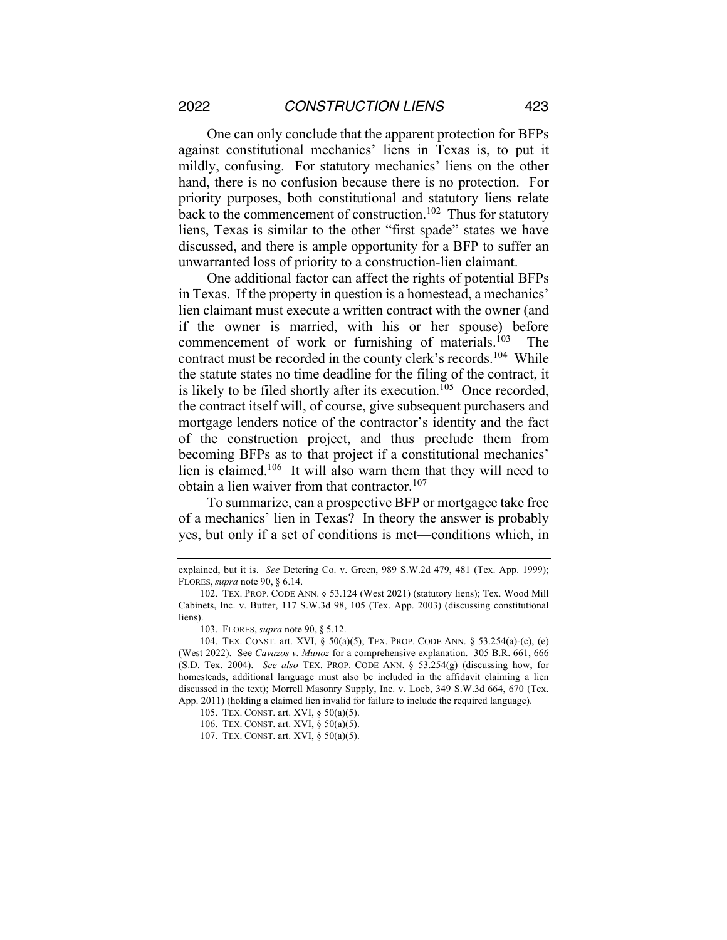One can only conclude that the apparent protection for BFPs against constitutional mechanics' liens in Texas is, to put it mildly, confusing. For statutory mechanics' liens on the other hand, there is no confusion because there is no protection. For priority purposes, both constitutional and statutory liens relate back to the commencement of construction.<sup>102</sup> Thus for statutory liens, Texas is similar to the other "first spade" states we have discussed, and there is ample opportunity for a BFP to suffer an unwarranted loss of priority to a construction-lien claimant.

One additional factor can affect the rights of potential BFPs in Texas. If the property in question is a homestead, a mechanics' lien claimant must execute a written contract with the owner (and if the owner is married, with his or her spouse) before commencement of work or furnishing of materials.103 The contract must be recorded in the county clerk's records.<sup>104</sup> While the statute states no time deadline for the filing of the contract, it is likely to be filed shortly after its execution.<sup> $105$ </sup> Once recorded, the contract itself will, of course, give subsequent purchasers and mortgage lenders notice of the contractor's identity and the fact of the construction project, and thus preclude them from becoming BFPs as to that project if a constitutional mechanics' lien is claimed.106 It will also warn them that they will need to obtain a lien waiver from that contractor.<sup>107</sup>

To summarize, can a prospective BFP or mortgagee take free of a mechanics' lien in Texas? In theory the answer is probably yes, but only if a set of conditions is met—conditions which, in

explained, but it is. *See* Detering Co. v. Green, 989 S.W.2d 479, 481 (Tex. App. 1999); FLORES, *supra* note 90, § 6.14.

<sup>102.</sup> TEX. PROP. CODE ANN. § 53.124 (West 2021) (statutory liens); Tex. Wood Mill Cabinets, Inc. v. Butter, 117 S.W.3d 98, 105 (Tex. App. 2003) (discussing constitutional liens).

<sup>103.</sup> FLORES, *supra* note 90, § 5.12.

<sup>104.</sup> TEX. CONST. art. XVI, § 50(a)(5); TEX. PROP. CODE ANN. § 53.254(a)-(c), (e) (West 2022). See *Cavazos v. Munoz* for a comprehensive explanation. 305 B.R. 661, 666 (S.D. Tex. 2004). *See also* TEX. PROP. CODE ANN. § 53.254(g) (discussing how, for homesteads, additional language must also be included in the affidavit claiming a lien discussed in the text); Morrell Masonry Supply, Inc. v. Loeb, 349 S.W.3d 664, 670 (Tex. App. 2011) (holding a claimed lien invalid for failure to include the required language).

<sup>105.</sup> TEX. CONST. art. XVI, § 50(a)(5).

<sup>106.</sup> TEX. CONST. art. XVI, § 50(a)(5).

<sup>107.</sup> TEX. CONST. art. XVI, § 50(a)(5).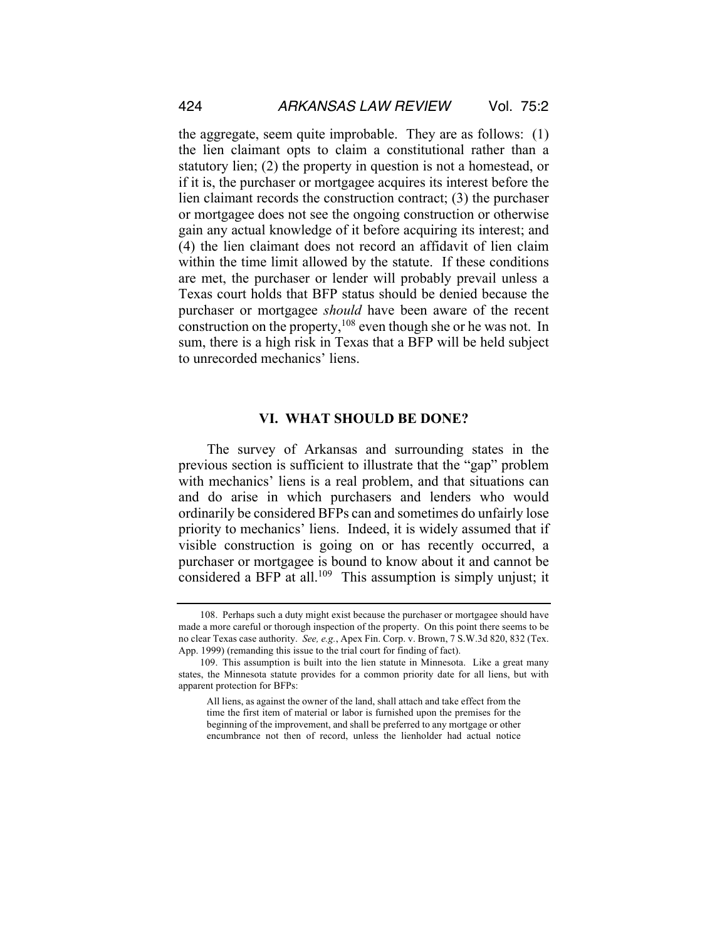the aggregate, seem quite improbable. They are as follows: (1) the lien claimant opts to claim a constitutional rather than a statutory lien; (2) the property in question is not a homestead, or if it is, the purchaser or mortgagee acquires its interest before the lien claimant records the construction contract; (3) the purchaser or mortgagee does not see the ongoing construction or otherwise gain any actual knowledge of it before acquiring its interest; and (4) the lien claimant does not record an affidavit of lien claim within the time limit allowed by the statute. If these conditions are met, the purchaser or lender will probably prevail unless a Texas court holds that BFP status should be denied because the purchaser or mortgagee *should* have been aware of the recent construction on the property, $108$  even though she or he was not. In sum, there is a high risk in Texas that a BFP will be held subject to unrecorded mechanics' liens.

#### **VI. WHAT SHOULD BE DONE?**

The survey of Arkansas and surrounding states in the previous section is sufficient to illustrate that the "gap" problem with mechanics' liens is a real problem, and that situations can and do arise in which purchasers and lenders who would ordinarily be considered BFPs can and sometimes do unfairly lose priority to mechanics' liens. Indeed, it is widely assumed that if visible construction is going on or has recently occurred, a purchaser or mortgagee is bound to know about it and cannot be considered a BFP at all.<sup>109</sup> This assumption is simply unjust; it

<sup>108.</sup> Perhaps such a duty might exist because the purchaser or mortgagee should have made a more careful or thorough inspection of the property. On this point there seems to be no clear Texas case authority. *See, e.g.*, Apex Fin. Corp. v. Brown, 7 S.W.3d 820, 832 (Tex. App. 1999) (remanding this issue to the trial court for finding of fact).

<sup>109.</sup> This assumption is built into the lien statute in Minnesota. Like a great many states, the Minnesota statute provides for a common priority date for all liens, but with apparent protection for BFPs:

All liens, as against the owner of the land, shall attach and take effect from the time the first item of material or labor is furnished upon the premises for the beginning of the improvement, and shall be preferred to any mortgage or other encumbrance not then of record, unless the lienholder had actual notice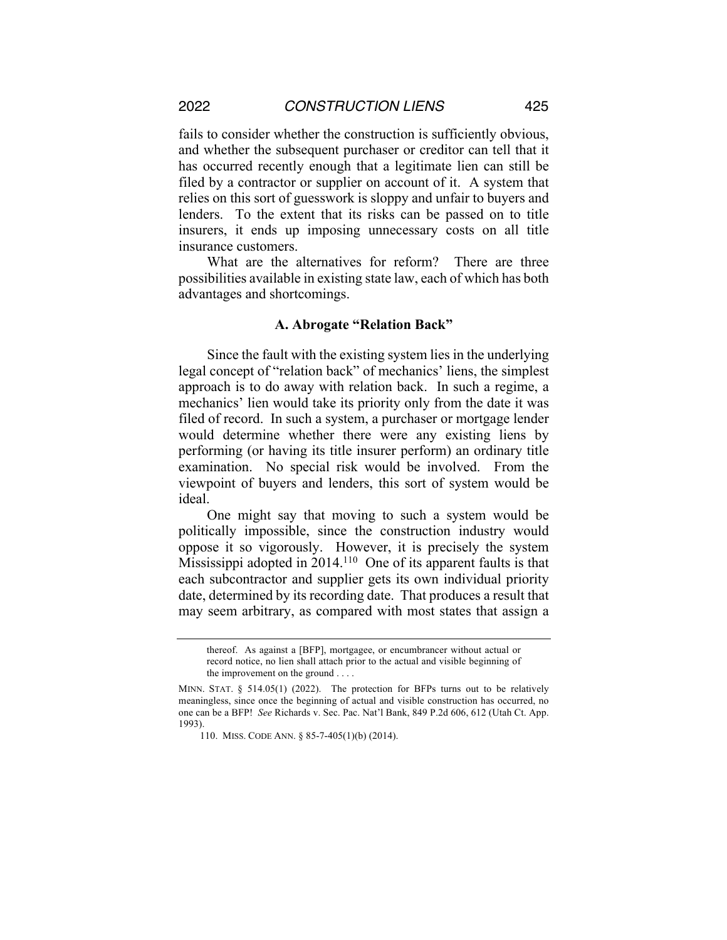fails to consider whether the construction is sufficiently obvious, and whether the subsequent purchaser or creditor can tell that it has occurred recently enough that a legitimate lien can still be filed by a contractor or supplier on account of it. A system that relies on this sort of guesswork is sloppy and unfair to buyers and lenders. To the extent that its risks can be passed on to title insurers, it ends up imposing unnecessary costs on all title insurance customers.

What are the alternatives for reform? There are three possibilities available in existing state law, each of which has both advantages and shortcomings.

#### **A. Abrogate "Relation Back"**

Since the fault with the existing system lies in the underlying legal concept of "relation back" of mechanics' liens, the simplest approach is to do away with relation back. In such a regime, a mechanics' lien would take its priority only from the date it was filed of record. In such a system, a purchaser or mortgage lender would determine whether there were any existing liens by performing (or having its title insurer perform) an ordinary title examination. No special risk would be involved. From the viewpoint of buyers and lenders, this sort of system would be ideal.

One might say that moving to such a system would be politically impossible, since the construction industry would oppose it so vigorously. However, it is precisely the system Mississippi adopted in 2014.110 One of its apparent faults is that each subcontractor and supplier gets its own individual priority date, determined by its recording date. That produces a result that may seem arbitrary, as compared with most states that assign a

thereof. As against a [BFP], mortgagee, or encumbrancer without actual or record notice, no lien shall attach prior to the actual and visible beginning of the improvement on the ground . . . .

MINN. STAT.  $\S$  514.05(1) (2022). The protection for BFPs turns out to be relatively meaningless, since once the beginning of actual and visible construction has occurred, no one can be a BFP! *See* Richards v. Sec. Pac. Nat'l Bank, 849 P.2d 606, 612 (Utah Ct. App. 1993).

<sup>110.</sup> MISS. CODE ANN. § 85-7-405(1)(b) (2014).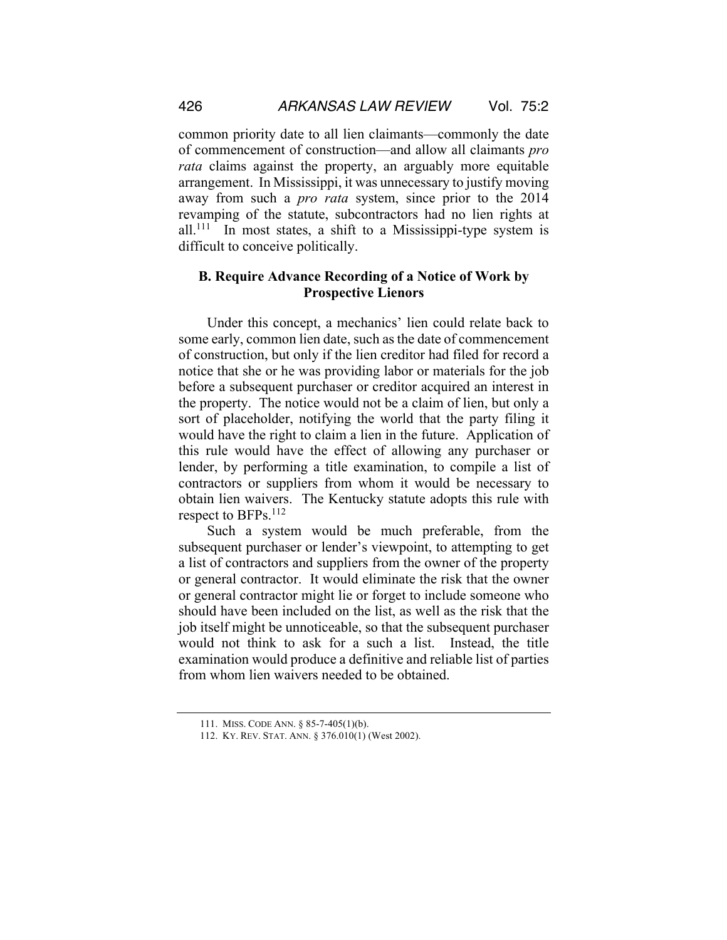common priority date to all lien claimants—commonly the date of commencement of construction—and allow all claimants *pro rata* claims against the property, an arguably more equitable arrangement. In Mississippi, it was unnecessary to justify moving away from such a *pro rata* system, since prior to the 2014 revamping of the statute, subcontractors had no lien rights at  $all.^{111}$  In most states, a shift to a Mississippi-type system is difficult to conceive politically.

## **B. Require Advance Recording of a Notice of Work by Prospective Lienors**

Under this concept, a mechanics' lien could relate back to some early, common lien date, such as the date of commencement of construction, but only if the lien creditor had filed for record a notice that she or he was providing labor or materials for the job before a subsequent purchaser or creditor acquired an interest in the property. The notice would not be a claim of lien, but only a sort of placeholder, notifying the world that the party filing it would have the right to claim a lien in the future. Application of this rule would have the effect of allowing any purchaser or lender, by performing a title examination, to compile a list of contractors or suppliers from whom it would be necessary to obtain lien waivers. The Kentucky statute adopts this rule with respect to BFPs.112

Such a system would be much preferable, from the subsequent purchaser or lender's viewpoint, to attempting to get a list of contractors and suppliers from the owner of the property or general contractor. It would eliminate the risk that the owner or general contractor might lie or forget to include someone who should have been included on the list, as well as the risk that the job itself might be unnoticeable, so that the subsequent purchaser would not think to ask for a such a list. Instead, the title examination would produce a definitive and reliable list of parties from whom lien waivers needed to be obtained.

<sup>111.</sup> MISS. CODE ANN. § 85-7-405(1)(b).

<sup>112.</sup> KY. REV. STAT. ANN. § 376.010(1) (West 2002).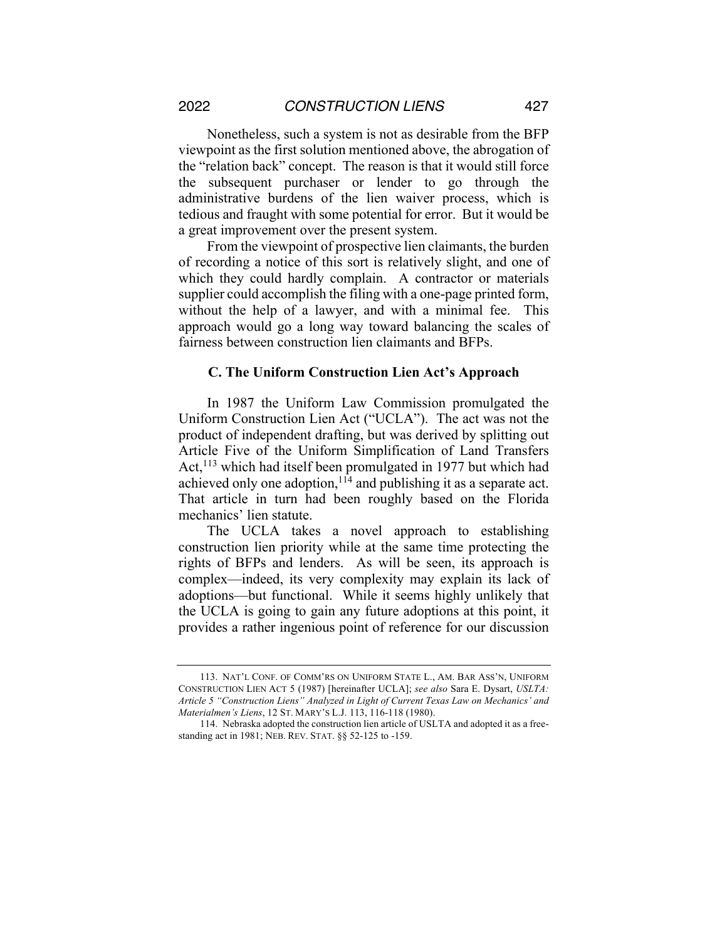Nonetheless, such a system is not as desirable from the BFP viewpoint as the first solution mentioned above, the abrogation of the "relation back" concept. The reason is that it would still force the subsequent purchaser or lender to go through the administrative burdens of the lien waiver process, which is tedious and fraught with some potential for error. But it would be a great improvement over the present system.

From the viewpoint of prospective lien claimants, the burden of recording a notice of this sort is relatively slight, and one of which they could hardly complain. A contractor or materials supplier could accomplish the filing with a one-page printed form, without the help of a lawyer, and with a minimal fee. This approach would go a long way toward balancing the scales of fairness between construction lien claimants and BFPs.

#### **C. The Uniform Construction Lien Act's Approach**

In 1987 the Uniform Law Commission promulgated the Uniform Construction Lien Act ("UCLA"). The act was not the product of independent drafting, but was derived by splitting out Article Five of the Uniform Simplification of Land Transfers Act, $113$  which had itself been promulgated in 1977 but which had achieved only one adoption,  $1^{14}$  and publishing it as a separate act. That article in turn had been roughly based on the Florida mechanics' lien statute.

The UCLA takes a novel approach to establishing construction lien priority while at the same time protecting the rights of BFPs and lenders. As will be seen, its approach is complex—indeed, its very complexity may explain its lack of adoptions—but functional. While it seems highly unlikely that the UCLA is going to gain any future adoptions at this point, it provides a rather ingenious point of reference for our discussion

<sup>113.</sup> NAT'L CONF. OF COMM'RS ON UNIFORM STATE L., AM. BAR ASS'N, UNIFORM CONSTRUCTION LIEN ACT 5 (1987) [hereinafter UCLA]; *see also* Sara E. Dysart, *USLTA: Article 5 "Construction Liens" Analyzed in Light of Current Texas Law on Mechanics' and Materialmen's Liens*, 12 ST. MARY'S L.J. 113, 116-118 (1980).

<sup>114.</sup> Nebraska adopted the construction lien article of USLTA and adopted it as a freestanding act in 1981; NEB. REV. STAT. §§ 52-125 to -159.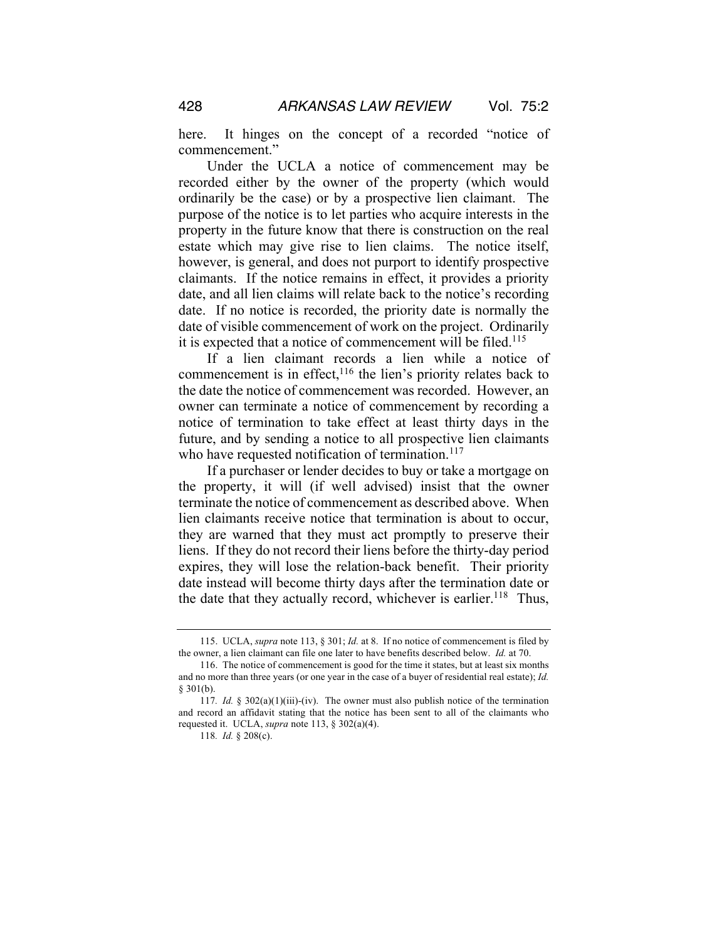here. It hinges on the concept of a recorded "notice of commencement."

Under the UCLA a notice of commencement may be recorded either by the owner of the property (which would ordinarily be the case) or by a prospective lien claimant. The purpose of the notice is to let parties who acquire interests in the property in the future know that there is construction on the real estate which may give rise to lien claims. The notice itself, however, is general, and does not purport to identify prospective claimants. If the notice remains in effect, it provides a priority date, and all lien claims will relate back to the notice's recording date. If no notice is recorded, the priority date is normally the date of visible commencement of work on the project. Ordinarily it is expected that a notice of commencement will be filed.115

If a lien claimant records a lien while a notice of commencement is in effect, $116$  the lien's priority relates back to the date the notice of commencement was recorded. However, an owner can terminate a notice of commencement by recording a notice of termination to take effect at least thirty days in the future, and by sending a notice to all prospective lien claimants who have requested notification of termination. $117$ 

If a purchaser or lender decides to buy or take a mortgage on the property, it will (if well advised) insist that the owner terminate the notice of commencement as described above. When lien claimants receive notice that termination is about to occur, they are warned that they must act promptly to preserve their liens. If they do not record their liens before the thirty-day period expires, they will lose the relation-back benefit. Their priority date instead will become thirty days after the termination date or the date that they actually record, whichever is earlier.<sup>118</sup> Thus,

<sup>115.</sup> UCLA, *supra* note 113, § 301; *Id.* at 8. If no notice of commencement is filed by the owner, a lien claimant can file one later to have benefits described below. *Id.* at 70.

<sup>116.</sup> The notice of commencement is good for the time it states, but at least six months and no more than three years (or one year in the case of a buyer of residential real estate); *Id.* § 301(b).

<sup>117</sup>*. Id.* § 302(a)(1)(iii)-(iv). The owner must also publish notice of the termination and record an affidavit stating that the notice has been sent to all of the claimants who requested it. UCLA, *supra* note 113, § 302(a)(4).

<sup>118</sup>*. Id.* § 208(c).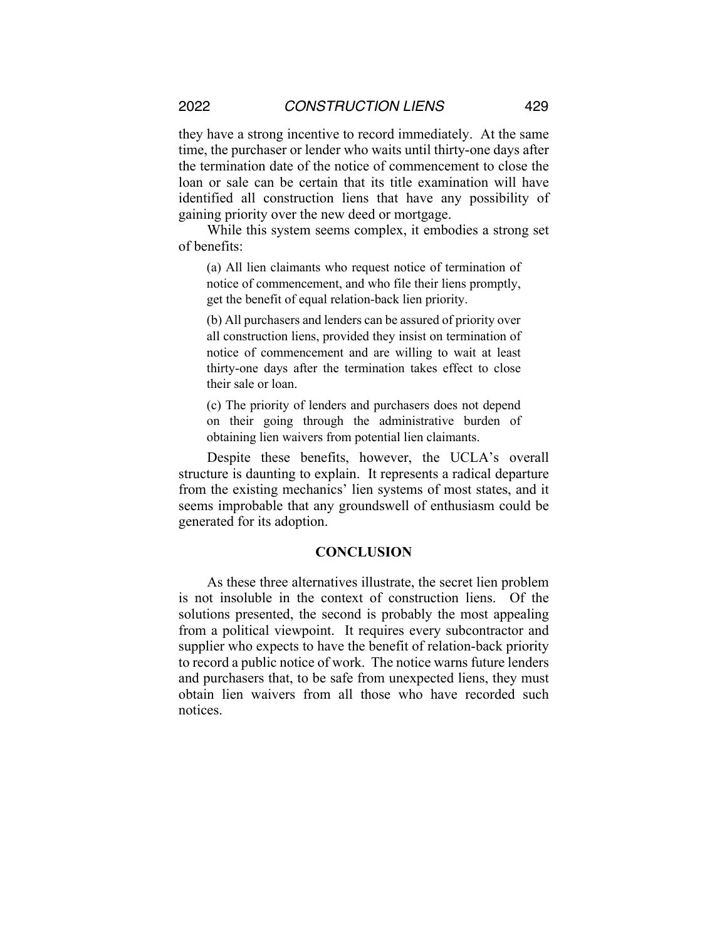they have a strong incentive to record immediately. At the same time, the purchaser or lender who waits until thirty-one days after the termination date of the notice of commencement to close the loan or sale can be certain that its title examination will have identified all construction liens that have any possibility of gaining priority over the new deed or mortgage.

While this system seems complex, it embodies a strong set of benefits:

(a) All lien claimants who request notice of termination of notice of commencement, and who file their liens promptly, get the benefit of equal relation-back lien priority.

(b) All purchasers and lenders can be assured of priority over all construction liens, provided they insist on termination of notice of commencement and are willing to wait at least thirty-one days after the termination takes effect to close their sale or loan.

(c) The priority of lenders and purchasers does not depend on their going through the administrative burden of obtaining lien waivers from potential lien claimants.

Despite these benefits, however, the UCLA's overall structure is daunting to explain. It represents a radical departure from the existing mechanics' lien systems of most states, and it seems improbable that any groundswell of enthusiasm could be generated for its adoption.

#### **CONCLUSION**

As these three alternatives illustrate, the secret lien problem is not insoluble in the context of construction liens. Of the solutions presented, the second is probably the most appealing from a political viewpoint. It requires every subcontractor and supplier who expects to have the benefit of relation-back priority to record a public notice of work. The notice warns future lenders and purchasers that, to be safe from unexpected liens, they must obtain lien waivers from all those who have recorded such notices.